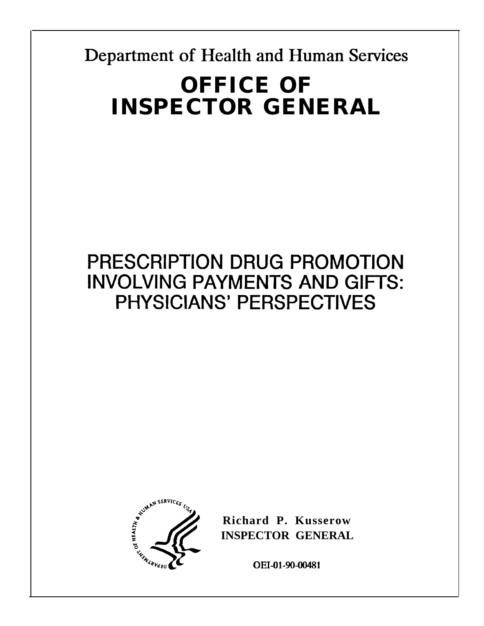Department of Health and Human Services

# **OFFICE OF INSPECTOR GENERAL**

# PRESCRIPTION DRUG PROMOTION **INVOLVING PAYMENTS AND GIFTS: PHYSICIANS' PERSPECTIVES**



**Richard P. Kusserow INSPECTOR GENERAL** 

OEI-01-90-00481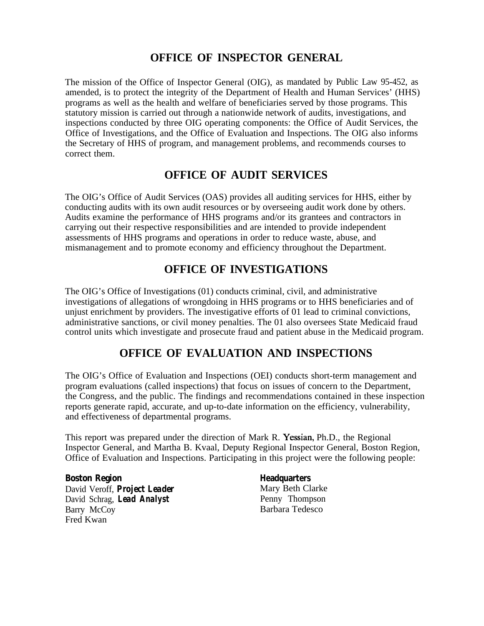## **OFFICE OF INSPECTOR GENERAL**

The mission of the Office of Inspector General (OIG), as mandated by Public Law 95-452, as amended, is to protect the integrity of the Department of Health and Human Services' (HHS) programs as well as the health and welfare of beneficiaries served by those programs. This statutory mission is carried out through a nationwide network of audits, investigations, and inspections conducted by three OIG operating components: the Office of Audit Services, the Office of Investigations, and the Office of Evaluation and Inspections. The OIG also informs the Secretary of HHS of program, and management problems, and recommends courses to correct them.

## **OFFICE OF AUDIT SERVICES**

The OIG's Office of Audit Services (OAS) provides all auditing services for HHS, either by conducting audits with its own audit resources or by overseeing audit work done by others. Audits examine the performance of HHS programs and/or its grantees and contractors in carrying out their respective responsibilities and are intended to provide independent assessments of HHS programs and operations in order to reduce waste, abuse, and mismanagement and to promote economy and efficiency throughout the Department.

## **OFFICE OF INVESTIGATIONS**

The OIG's Office of Investigations (01) conducts criminal, civil, and administrative investigations of allegations of wrongdoing in HHS programs or to HHS beneficiaries and of unjust enrichment by providers. The investigative efforts of 01 lead to criminal convictions, administrative sanctions, or civil money penalties. The 01 also oversees State Medicaid fraud control units which investigate and prosecute fraud and patient abuse in the Medicaid program.

## **OFFICE OF EVALUATION AND INSPECTIONS**

The OIG's Office of Evaluation and Inspections (OEI) conducts short-term management and program evaluations (called inspections) that focus on issues of concern to the Department, the Congress, and the public. The findings and recommendations contained in these inspection reports generate rapid, accurate, and up-to-date information on the efficiency, vulnerability, and effectiveness of departmental programs.

This report was prepared under the direction of Mark R. Yessian, Ph.D., the Regional Inspector General, and Martha B. Kvaal, Deputy Regional Inspector General, Boston Region, Office of Evaluation and Inspections. Participating in this project were the following people:

**Boston Region** Headquarters David Veroff, **Project Leader** Mary Beth Clarke David Schrag, **Lead Analyst Penny Thompson** Barry McCoy Barbara Tedesco Fred Kwan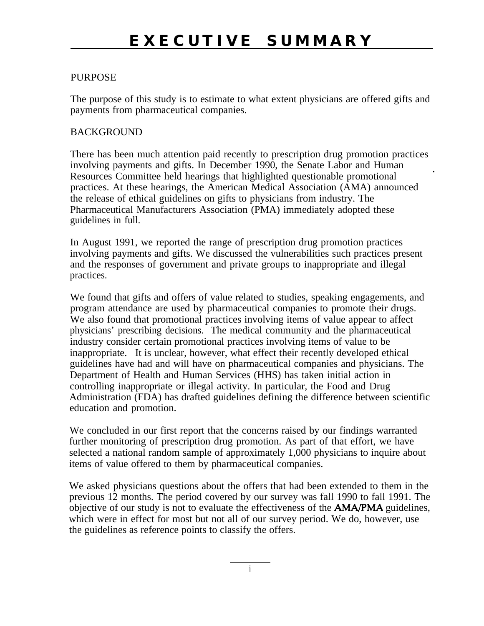## **PURPOSE**

The purpose of this study is to estimate to what extent physicians are offered gifts and payments from pharmaceutical companies.

## **BACKGROUND**

There has been much attention paid recently to prescription drug promotion practices involving payments and gifts. In December 1990, the Senate Labor and Human Resources Committee held hearings that highlighted questionable promotional \* practices. At these hearings, the American Medical Association (AMA) announced the release of ethical guidelines on gifts to physicians from industry. The Pharmaceutical Manufacturers Association (PMA) immediately adopted these guidelines in full.

In August 1991, we reported the range of prescription drug promotion practices involving payments and gifts. We discussed the vulnerabilities such practices present and the responses of government and private groups to inappropriate and illegal practices.

We found that gifts and offers of value related to studies, speaking engagements, and program attendance are used by pharmaceutical companies to promote their drugs. We also found that promotional practices involving items of value appear to affect physicians' prescribing decisions. The medical community and the pharmaceutical industry consider certain promotional practices involving items of value to be inappropriate. It is unclear, however, what effect their recently developed ethical guidelines have had and will have on pharmaceutical companies and physicians. The Department of Health and Human Services (HHS) has taken initial action in controlling inappropriate or illegal activity. In particular, the Food and Drug Administration (FDA) has drafted guidelines defining the difference between scientific education and promotion.

We concluded in our first report that the concerns raised by our findings warranted further monitoring of prescription drug promotion. As part of that effort, we have selected a national random sample of approximately 1,000 physicians to inquire about items of value offered to them by pharmaceutical companies.

We asked physicians questions about the offers that had been extended to them in the previous 12 months. The period covered by our survey was fall 1990 to fall 1991. The objective of our study is not to evaluate the effectiveness of the  $AMA/PMA$  guidelines, which were in effect for most but not all of our survey period. We do, however, use the guidelines as reference points to classify the offers.

i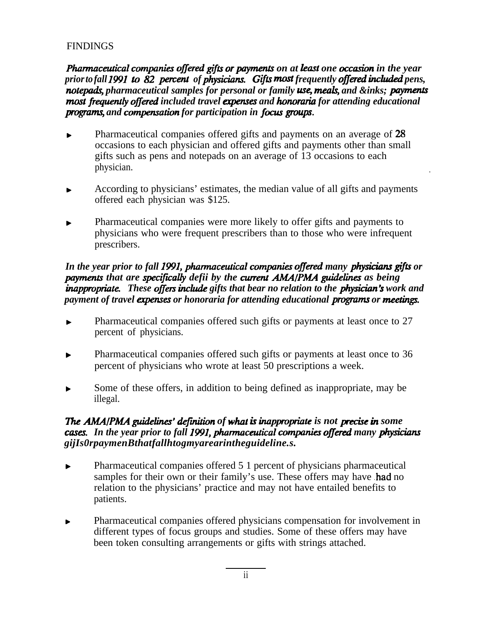## FINDINGS

*Pharmaceutical companies offered gifts or payments on at least one occasion in the year* prior to fall 1991 to 82 percent of physicians. Gifts most frequently offered included pens, *notepads, pharmaceutical samples for personal or family use, meals, and &inks; payments most frequently offered included travel expenses and honoraria for attending educational programs, and compensation for participation in focus groups.* 

- Pharmaceutical companies offered gifts and payments on an average of 28 occasions to each physician and offered gifts and payments other than small gifts such as pens and notepads on an average of 13 occasions to each physician. The contract of the contract of the contract of the contract of the contract of the contract of the contract of the contract of the contract of the contract of the contract of the contract of the contract of the
- According to physicians' estimates, the median value of all gifts and payments  $\blacktriangleright$ offered each physician was \$125.
- Pharmaceutical companies were more likely to offer gifts and payments to physicians who were frequent prescribers than to those who were infrequent prescribers.

*In the year prior to fall 1991, pharmaceutical companies offered many physicians gifts or payments that are specifically defii by the current AMA/PMA guidelines as being inappropriate. These offers include gifts that bear no relation to the physician's work and payment of travel expenses or honoraria for attending educational programs or meetings.* 

- Pharmaceutical companies offered such gifts or payments at least once to 27 ь percent of physicians.
- Pharmaceutical companies offered such gifts or payments at least once to 36 percent of physicians who wrote at least 50 prescriptions a week.
- Some of these offers, in addition to being defined as inappropriate, may be illegal.

## **The AMA/PMA guidelines' definition of what is inappropriate is not precise in some** cases. In the year prior to fall 1991, pharmaceutical companies offered many physicians *gijIs0rpaymenBthatfallhtogmyarearintheguideline.s.*

- *'* Pharmaceutical companies offered 5 1 percent of physicians pharmaceutical samples for their own or their family's use. These offers may have had no relation to the physicians' practice and may not have entailed benefits to patients.
- Pharmaceutical companies offered physicians compensation for involvement in different types of focus groups and studies. Some of these offers may have been token consulting arrangements or gifts with strings attached.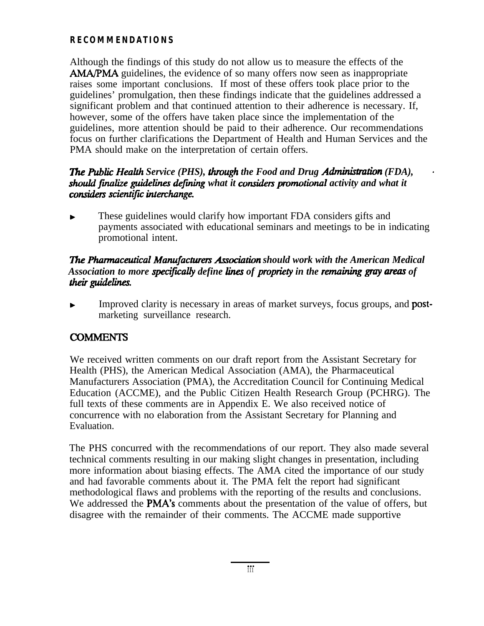### **RECOMMENDATIONS**

Although the findings of this study do not allow us to measure the effects of the AMA/PMA guidelines, the evidence of so many offers now seen as inappropriate raises some important conclusions. If most of these offers took place prior to the guidelines' promulgation, then these findings indicate that the guidelines addressed a significant problem and that continued attention to their adherence is necessary. If, however, some of the offers have taken place since the implementation of the guidelines, more attention should be paid to their adherence. Our recommendations focus on further clarifications the Department of Health and Human Services and the PMA should make on the interpretation of certain offers.

## **The Public Health** Service (PHS), **through** the Food and Drug **Administration** (FDA), **should finalize guidelines defining** what it **considers promotional** activity and what it considers scientific interchange.

These guidelines would clarify how important FDA considers gifts and  $\blacktriangleright$ payments associated with educational seminars and meetings to be in indicating promotional intent.

## **The Pharmaceutical Manufacturers Association** should work with the American Medical Association to more **specifically** define **lines** of **propriety** in the **remaining gray areas** of their guidelines.

Improved clarity is necessary in areas of market surveys, focus groups, and **post**marketing surveillance research.

## **COMMENTS**

We received written comments on our draft report from the Assistant Secretary for Health (PHS), the American Medical Association (AMA), the Pharmaceutical Manufacturers Association (PMA), the Accreditation Council for Continuing Medical Education (ACCME), and the Public Citizen Health Research Group (PCHRG). The full texts of these comments are in Appendix E. We also received notice of concurrence with no elaboration from the Assistant Secretary for Planning and Evaluation.

The PHS concurred with the recommendations of our report. They also made several technical comments resulting in our making slight changes in presentation, including more information about biasing effects. The AMA cited the importance of our study and had favorable comments about it. The PMA felt the report had significant methodological flaws and problems with the reporting of the results and conclusions. We addressed the **PMA's** comments about the presentation of the value of offers, but disagree with the remainder of their comments. The ACCME made supportive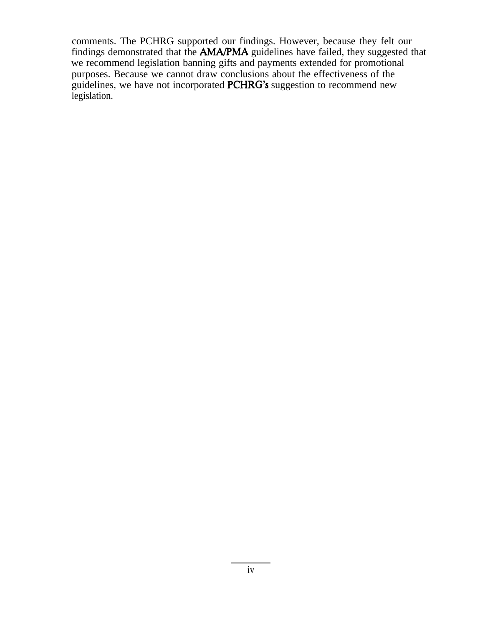comments. The PCHRG supported our findings. However, because they felt our findings demonstrated that the **AMA/PMA** guidelines have failed, they suggested that we recommend legislation banning gifts and payments extended for promotional purposes. Because we cannot draw conclusions about the effectiveness of the guidelines, we have not incorporated PCHRG's suggestion to recommend new legislation.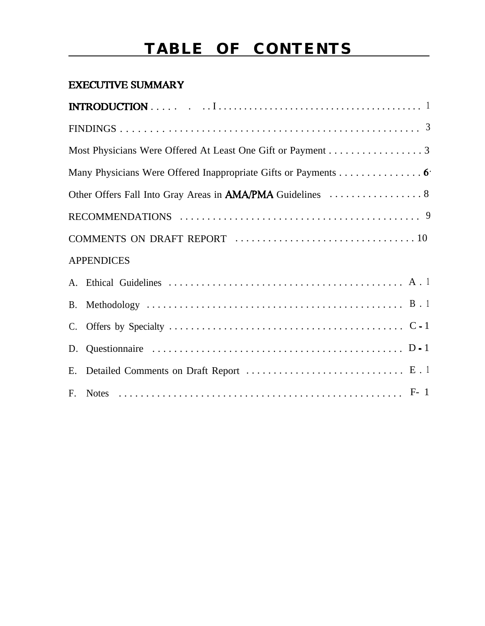## **TABLE OF CONTENTS**

## **EXECUTIVE SUMMARY**

|    | Most Physicians Were Offered At Least One Gift or Payment 3    |
|----|----------------------------------------------------------------|
|    | Many Physicians Were Offered Inappropriate Gifts or Payments 6 |
|    |                                                                |
|    |                                                                |
|    |                                                                |
|    | <b>APPENDICES</b>                                              |
|    |                                                                |
|    |                                                                |
|    |                                                                |
|    |                                                                |
| Е. | Detailed Comments on Draft Report  E. 1                        |
|    |                                                                |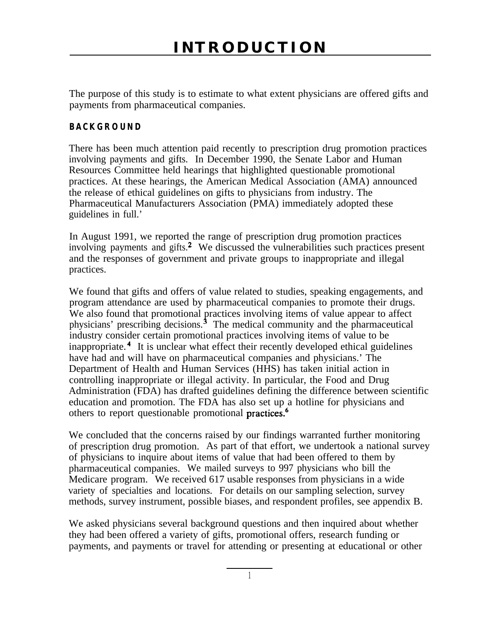The purpose of this study is to estimate to what extent physicians are offered gifts and payments from pharmaceutical companies.

## **BACKGROUND**

There has been much attention paid recently to prescription drug promotion practices involving payments and gifts. In December 1990, the Senate Labor and Human Resources Committee held hearings that highlighted questionable promotional practices. At these hearings, the American Medical Association (AMA) announced the release of ethical guidelines on gifts to physicians from industry. The Pharmaceutical Manufacturers Association (PMA) immediately adopted these guidelines in full.'

In August 1991, we reported the range of prescription drug promotion practices involving payments and gifts.<sup>2</sup> We discussed the vulnerabilities such practices present and the responses of government and private groups to inappropriate and illegal practices.

We found that gifts and offers of value related to studies, speaking engagements, and program attendance are used by pharmaceutical companies to promote their drugs. We also found that promotional practices involving items of value appear to affect physicians' prescribing decisions.<sup>3</sup> The medical community and the pharmaceutical industry consider certain promotional practices involving items of value to be inappropriate.<sup>4</sup> It is unclear what effect their recently developed ethical guidelines have had and will have on pharmaceutical companies and physicians.' The Department of Health and Human Services (HHS) has taken initial action in controlling inappropriate or illegal activity. In particular, the Food and Drug Administration (FDA) has drafted guidelines defining the difference between scientific education and promotion. The FDA has also set up a hotline for physicians and others to report questionable promotional **practices.**<sup>6</sup>

We concluded that the concerns raised by our findings warranted further monitoring of prescription drug promotion. As part of that effort, we undertook a national survey of physicians to inquire about items of value that had been offered to them by pharmaceutical companies. We mailed surveys to 997 physicians who bill the Medicare program. We received 617 usable responses from physicians in a wide variety of specialties and locations. For details on our sampling selection, survey methods, survey instrument, possible biases, and respondent profiles, see appendix B.

We asked physicians several background questions and then inquired about whether they had been offered a variety of gifts, promotional offers, research funding or payments, and payments or travel for attending or presenting at educational or other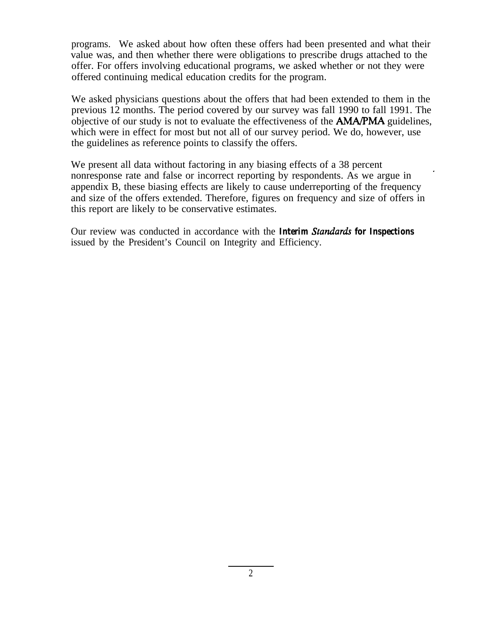programs. We asked about how often these offers had been presented and what their value was, and then whether there were obligations to prescribe drugs attached to the offer. For offers involving educational programs, we asked whether or not they were offered continuing medical education credits for the program.

We asked physicians questions about the offers that had been extended to them in the previous 12 months. The period covered by our survey was fall 1990 to fall 1991. The objective of our study is not to evaluate the effectiveness of the  $AMA/PMA$  guidelines, which were in effect for most but not all of our survey period. We do, however, use the guidelines as reference points to classify the offers.

We present all data without factoring in any biasing effects of a 38 percent nonresponse rate and false or incorrect reporting by respondents. As we argue in ' appendix B, these biasing effects are likely to cause underreporting of the frequency and size of the offers extended. Therefore, figures on frequency and size of offers in this report are likely to be conservative estimates.

Our review was conducted in accordance with the **Interim Standards for Inspections** issued by the President's Council on Integrity and Efficiency.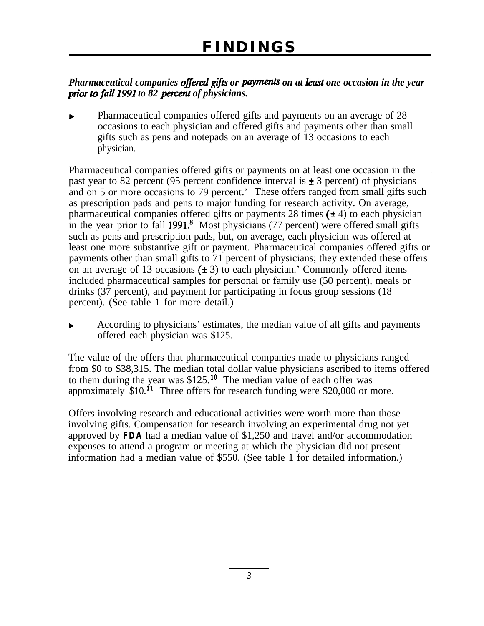## *Pharmaceutical companies offered gifts or payments on at least one occasion in the year prior to fall 1991 to 82 percent of physicians.*

Pharmaceutical companies offered gifts and payments on an average of 28 occasions to each physician and offered gifts and payments other than small gifts such as pens and notepads on an average of 13 occasions to each physician.

Pharmaceutical companies offered gifts or payments on at least one occasion in the past year to 82 percent (95 percent confidence interval is  $\pm$  3 percent) of physicians and on 5 or more occasions to 79 percent.' These offers ranged from small gifts such as prescription pads and pens to major funding for research activity. On average, pharmaceutical companies offered gifts or payments 28 times  $(\pm 4)$  to each physician in the year prior to fall  $1991$ <sup>8</sup> Most physicians (77 percent) were offered small gifts such as pens and prescription pads, but, on average, each physician was offered at least one more substantive gift or payment. Pharmaceutical companies offered gifts or payments other than small gifts to 71 percent of physicians; they extended these offers on an average of 13 occasions  $(\pm 3)$  to each physician.' Commonly offered items included pharmaceutical samples for personal or family use (50 percent), meals or drinks (37 percent), and payment for participating in focus group sessions (18 percent). (See table 1 for more detail.)

According to physicians' estimates, the median value of all gifts and payments offered each physician was \$125.

The value of the offers that pharmaceutical companies made to physicians ranged from \$0 to \$38,315. The median total dollar value physicians ascribed to items offered to them during the year was  $$125$ .<sup>10</sup> The median value of each offer was approximately  $$10$ <sup>11</sup> Three offers for research funding were \$20,000 or more.

Offers involving research and educational activities were worth more than those involving gifts. Compensation for research involving an experimental drug not yet approved by **FDA** had a median value of \$1,250 and travel and/or accommodation expenses to attend a program or meeting at which the physician did not present information had a median value of \$550. (See table 1 for detailed information.)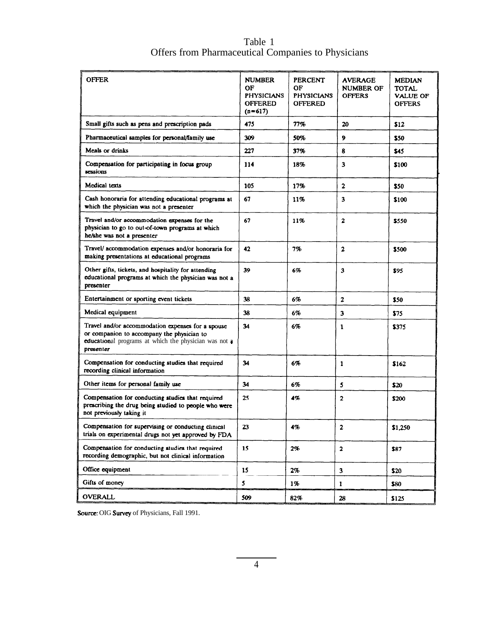| Table 1                                                   |
|-----------------------------------------------------------|
| <b>Offers from Pharmaceutical Companies to Physicians</b> |

| <b>OFFER</b>                                                                                                                                                          | <b>NUMBER</b><br>OF<br><b>PHYSICIANS</b><br><b>OFFERED</b><br>$(n=617)$ | PERCENT<br>OF<br>PHYSICIANS<br>OFFERED | <b>AVERAGE</b><br><b>NUMBER OF</b><br><b>OFFERS</b> | <b>MEDIAN</b><br>TOTAL<br><b>VALUE OF</b><br><b>OFFERS</b> |
|-----------------------------------------------------------------------------------------------------------------------------------------------------------------------|-------------------------------------------------------------------------|----------------------------------------|-----------------------------------------------------|------------------------------------------------------------|
| Small gifts such as pens and prescription pads                                                                                                                        | 475                                                                     | 77%                                    | 20                                                  | \$12                                                       |
| Pharmaceutical samples for personal/family use                                                                                                                        | 309                                                                     | 50%                                    | 9                                                   | \$50                                                       |
| Meals or drinks                                                                                                                                                       | 227                                                                     | 37%                                    | 8                                                   | \$45.                                                      |
| Compensation for participating in focus group<br>sessions                                                                                                             | 114                                                                     | 18%                                    | 3                                                   | \$100                                                      |
| Medical texts                                                                                                                                                         | 105                                                                     | 17%                                    | 2                                                   | \$50                                                       |
| Cash honoraria for attending educational programs at<br>which the physician was not a presenter                                                                       | 67                                                                      | 11%                                    | 3                                                   | \$100                                                      |
| Travel and/or accommodation expenses for the<br>physician to go to out-of-town programs at which<br>he/she was not a presenter                                        | 67                                                                      | 11%                                    | $\overline{2}$                                      | \$550                                                      |
| Travel/accommodation expenses and/or honoraria for<br>making presentations at educational programs                                                                    | 42                                                                      | 7%                                     | $\mathbf{z}$                                        | \$500                                                      |
| Other gifts, tickets, and hospitality for attending<br>educational programs at which the physician was not a<br>presenter                                             | 39                                                                      | 6%                                     | $\overline{\mathbf{3}}$                             | \$95                                                       |
| Entertainment or sporting event tickets                                                                                                                               | 38                                                                      | 6%                                     | $\overline{2}$                                      | \$50                                                       |
| Medical equipment                                                                                                                                                     | 38                                                                      | 6%                                     | 3                                                   | \$75                                                       |
| Travel and/or accommodation expenses for a spouse<br>or companion to accompany the physician to<br>educational programs at which the physician was not a<br>presenter | 34                                                                      | 6%                                     | 1                                                   | \$375                                                      |
| Compensation for conducting studies that required<br>recording clinical information                                                                                   | 34                                                                      | 6%                                     | 1                                                   | \$162                                                      |
| Other items for personal family use                                                                                                                                   | 34                                                                      | 6%                                     | 5                                                   | \$20                                                       |
| Compensation for conducting studies that required<br>prescribing the drug being studied to people who were<br>not previously taking it                                | 25                                                                      | 4%                                     | $\mathbf{z}$                                        | \$200                                                      |
| Compensation for supervising or conducting clinical<br>trials on experimental drugs not yet approved by FDA                                                           | 23                                                                      | 4%                                     | $\mathbf{2}$                                        | \$1,250                                                    |
| Compensation for conducting studies that required<br>recording demographic, but not clinical information                                                              | 15                                                                      | 2%                                     | $\overline{2}$                                      | \$87                                                       |
| Office equipment                                                                                                                                                      | 15                                                                      | $2\%$                                  | 3                                                   | \$20                                                       |
| Gifts of money                                                                                                                                                        | 5                                                                       | $1\%$                                  | 1                                                   | \$80                                                       |
| <b>OVERALL</b>                                                                                                                                                        | 509                                                                     | 82%                                    | 28                                                  | \$125                                                      |

Source: OIG Survey of Physicians, Fall 1991.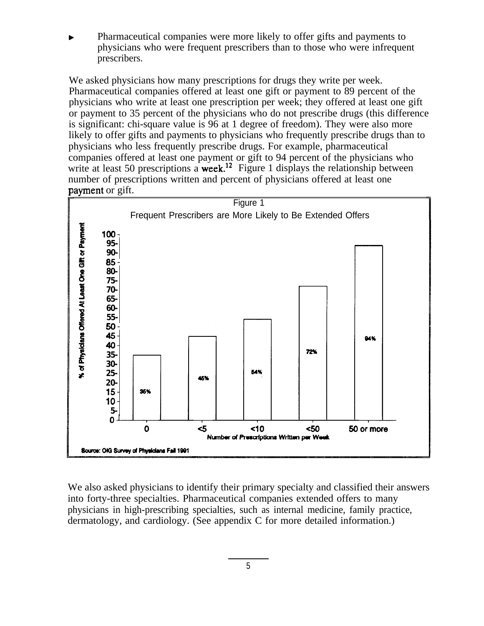Pharmaceutical companies were more likely to offer gifts and payments to physicians who were frequent prescribers than to those who were infrequent prescribers.

We asked physicians how many prescriptions for drugs they write per week. Pharmaceutical companies offered at least one gift or payment to 89 percent of the physicians who write at least one prescription per week; they offered at least one gift or payment to 35 percent of the physicians who do not prescribe drugs (this difference is significant: chi-square value is 96 at 1 degree of freedom). They were also more likely to offer gifts and payments to physicians who frequently prescribe drugs than to physicians who less frequently prescribe drugs. For example, pharmaceutical companies offered at least one payment or gift to 94 percent of the physicians who write at least 50 prescriptions a week.<sup>12</sup> Figure 1 displays the relationship between number of prescriptions written and percent of physicians offered at least one payment or gift.



We also asked physicians to identify their primary specialty and classified their answers into forty-three specialties. Pharmaceutical companies extended offers to many physicians in high-prescribing specialties, such as internal medicine, family practice, dermatology, and cardiology. (See appendix C for more detailed information.)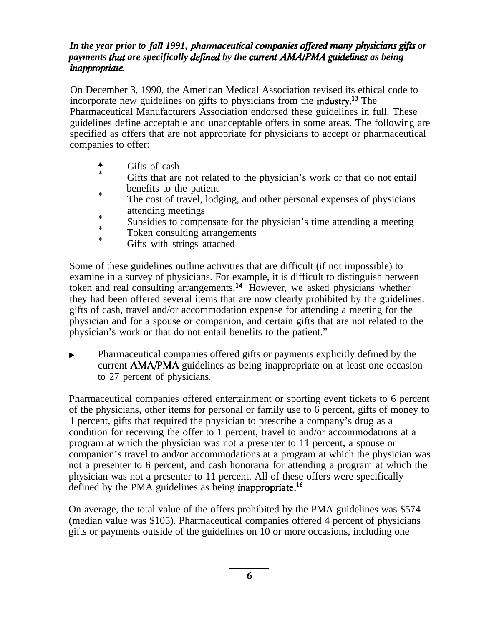## In the year prior to fall 1991, pharmaceutical companies offered many physicians gifts or *payments that are specifically defined by the current AMA/PMA guidelines as being* inappropriate.

On December 3, 1990, the American Medical Association revised its ethical code to incorporate new guidelines on gifts to physicians from the industry.<sup>13</sup> The Pharmaceutical Manufacturers Association endorsed these guidelines in full. These guidelines define acceptable and unacceptable offers in some areas. The following are specified as offers that are not appropriate for physicians to accept or pharmaceutical companies to offer:

- $\underset{\sim}{\bullet}$  Gifts of cash
- Gifts that are not related to the physician's work or that do not entail benefits to the patient
- \* The cost of travel, lodging, and other personal expenses of physicians attending meetings
- $*\sum_{n=1}^{\infty}$  Subsidies to compensate for the physician's time attending a meeting
- $\sqrt{\frac{1}{\pi}}$  Token consulting arrangements
- Gifts with strings attached

Some of these guidelines outline activities that are difficult (if not impossible) to examine in a survey of physicians. For example, it is difficult to distinguish between token and real consulting arrangements.<sup>14</sup> However, we asked physicians whether they had been offered several items that are now clearly prohibited by the guidelines: gifts of cash, travel and/or accommodation expense for attending a meeting for the physician and for a spouse or companion, and certain gifts that are not related to the physician's work or that do not entail benefits to the patient."

Pharmaceutical companies offered gifts or payments explicitly defined by the current AMA/PMA guidelines as being inappropriate on at least one occasion to 27 percent of physicians.

Pharmaceutical companies offered entertainment or sporting event tickets to 6 percent of the physicians, other items for personal or family use to 6 percent, gifts of money to 1 percent, gifts that required the physician to prescribe a company's drug as a condition for receiving the offer to 1 percent, travel to and/or accommodations at a program at which the physician was not a presenter to 11 percent, a spouse or companion's travel to and/or accommodations at a program at which the physician was not a presenter to 6 percent, and cash honoraria for attending a program at which the physician was not a presenter to 11 percent. All of these offers were specifically defined by the PMA guidelines as being **inappropriate.**<sup>16</sup>

On average, the total value of the offers prohibited by the PMA guidelines was \$574 (median value was \$105). Pharmaceutical companies offered 4 percent of physicians gifts or payments outside of the guidelines on 10 or more occasions, including one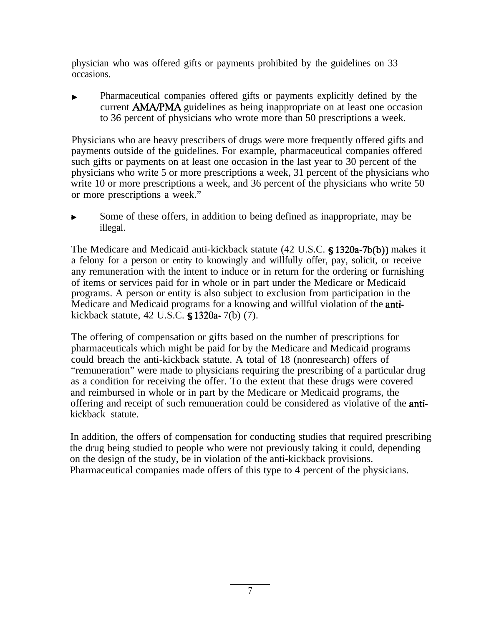physician who was offered gifts or payments prohibited by the guidelines on 33 occasions.

Pharmaceutical companies offered gifts or payments explicitly defined by the current AMA/PMA guidelines as being inappropriate on at least one occasion to 36 percent of physicians who wrote more than 50 prescriptions a week.

Physicians who are heavy prescribers of drugs were more frequently offered gifts and payments outside of the guidelines. For example, pharmaceutical companies offered such gifts or payments on at least one occasion in the last year to 30 percent of the physicians who write 5 or more prescriptions a week, 31 percent of the physicians who write 10 or more prescriptions a week, and 36 percent of the physicians who write 50 or more prescriptions a week."

Some of these offers, in addition to being defined as inappropriate, may be illegal.

The Medicare and Medicaid anti-kickback statute  $(42 \text{ U.S.C. } \textbf{S} 1320a-7b(b))$  makes it a felony for a person or entity to knowingly and willfully offer, pay, solicit, or receive any remuneration with the intent to induce or in return for the ordering or furnishing of items or services paid for in whole or in part under the Medicare or Medicaid programs. A person or entity is also subject to exclusion from participation in the Medicare and Medicaid programs for a knowing and willful violation of the antikickback statute,  $42$  U.S.C.  $\frac{\epsilon}{2}$  1320a - 7(b) (7).

The offering of compensation or gifts based on the number of prescriptions for pharmaceuticals which might be paid for by the Medicare and Medicaid programs could breach the anti-kickback statute. A total of 18 (nonresearch) offers of "remuneration" were made to physicians requiring the prescribing of a particular drug as a condition for receiving the offer. To the extent that these drugs were covered and reimbursed in whole or in part by the Medicare or Medicaid programs, the offering and receipt of such remuneration could be considered as violative of the **anti**kickback statute.

In addition, the offers of compensation for conducting studies that required prescribing the drug being studied to people who were not previously taking it could, depending on the design of the study, be in violation of the anti-kickback provisions. Pharmaceutical companies made offers of this type to 4 percent of the physicians.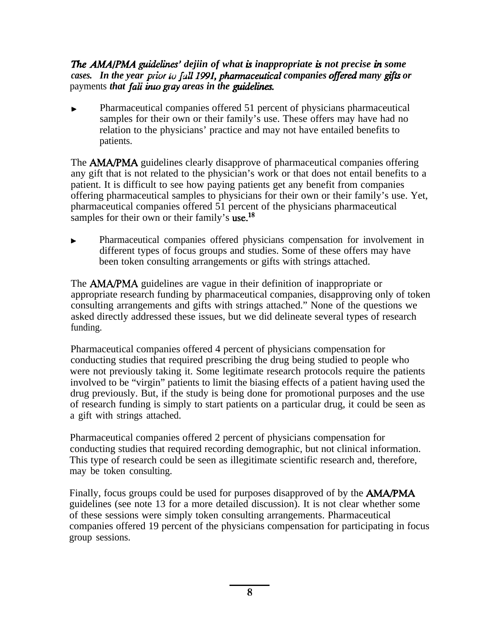## *The AMA/PMA guidelines' dejiin of what is inappropriate is not precise in some cases. In the year prior to fall 1991, pharmaceutical companies offered many gifts or* payments *that fall into gray areas in the guidelines.*

Pharmaceutical companies offered 51 percent of physicians pharmaceutical samples for their own or their family's use. These offers may have had no relation to the physicians' practice and may not have entailed benefits to patients.

The **AMA/PMA** guidelines clearly disapprove of pharmaceutical companies offering any gift that is not related to the physician's work or that does not entail benefits to a patient. It is difficult to see how paying patients get any benefit from companies offering pharmaceutical samples to physicians for their own or their family's use. Yet, pharmaceutical companies offered 51 percent of the physicians pharmaceutical samples for their own or their family's use.<sup>18</sup>

Pharmaceutical companies offered physicians compensation for involvement in different types of focus groups and studies. Some of these offers may have been token consulting arrangements or gifts with strings attached.

The AMA/PMA guidelines are vague in their definition of inappropriate or appropriate research funding by pharmaceutical companies, disapproving only of token consulting arrangements and gifts with strings attached." None of the questions we asked directly addressed these issues, but we did delineate several types of research funding.

Pharmaceutical companies offered 4 percent of physicians compensation for conducting studies that required prescribing the drug being studied to people who were not previously taking it. Some legitimate research protocols require the patients involved to be "virgin" patients to limit the biasing effects of a patient having used the drug previously. But, if the study is being done for promotional purposes and the use of research funding is simply to start patients on a particular drug, it could be seen as a gift with strings attached.

Pharmaceutical companies offered 2 percent of physicians compensation for conducting studies that required recording demographic, but not clinical information. This type of research could be seen as illegitimate scientific research and, therefore, may be token consulting.

Finally, focus groups could be used for purposes disapproved of by the **AMA/PMA** guidelines (see note 13 for a more detailed discussion). It is not clear whether some of these sessions were simply token consulting arrangements. Pharmaceutical companies offered 19 percent of the physicians compensation for participating in focus group sessions.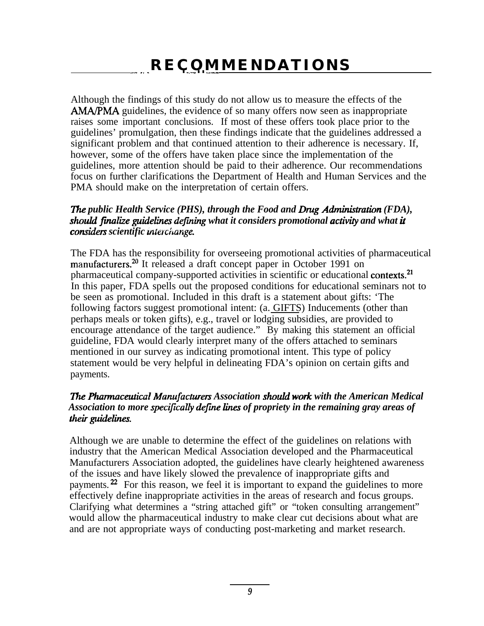Although the findings of this study do not allow us to measure the effects of the AMA/PMA guidelines, the evidence of so many offers now seen as inappropriate raises some important conclusions. If most of these offers took place prior to the guidelines' promulgation, then these findings indicate that the guidelines addressed a significant problem and that continued attention to their adherence is necessary. If, however, some of the offers have taken place since the implementation of the guidelines, more attention should be paid to their adherence. Our recommendations focus on further clarifications the Department of Health and Human Services and the PMA should make on the interpretation of certain offers.

## *The public Health Service (PHS), through the Food and Drug Administration (FDA), should finalize guidelines defining what it considers promotional activity and what it considers scientific interchange.*

The FDA has the responsibility for overseeing promotional activities of pharmaceutical manufacturers.<sup>20</sup> It released a draft concept paper in October 1991 on pharmaceutical company-supported activities in scientific or educational **contexts.**<sup>21</sup> In this paper, FDA spells out the proposed conditions for educational seminars not to be seen as promotional. Included in this draft is a statement about gifts: 'The following factors suggest promotional intent: (a. GIFTS) Inducements (other than perhaps meals or token gifts), e.g., travel or lodging subsidies, are provided to encourage attendance of the target audience." By making this statement an official guideline, FDA would clearly interpret many of the offers attached to seminars mentioned in our survey as indicating promotional intent. This type of policy statement would be very helpful in delineating FDA's opinion on certain gifts and payments.

## *The Pharmaceutical Manufacturers Association should work with the American Medical* Association to more specifically define lines of propriety in the remaining gray areas of their guidelines.

Although we are unable to determine the effect of the guidelines on relations with industry that the American Medical Association developed and the Pharmaceutical Manufacturers Association adopted, the guidelines have clearly heightened awareness of the issues and have likely slowed the prevalence of inappropriate gifts and payments.  $22$  For this reason, we feel it is important to expand the guidelines to more effectively define inappropriate activities in the areas of research and focus groups. Clarifying what determines a "string attached gift" or "token consulting arrangement" would allow the pharmaceutical industry to make clear cut decisions about what are and are not appropriate ways of conducting post-marketing and market research.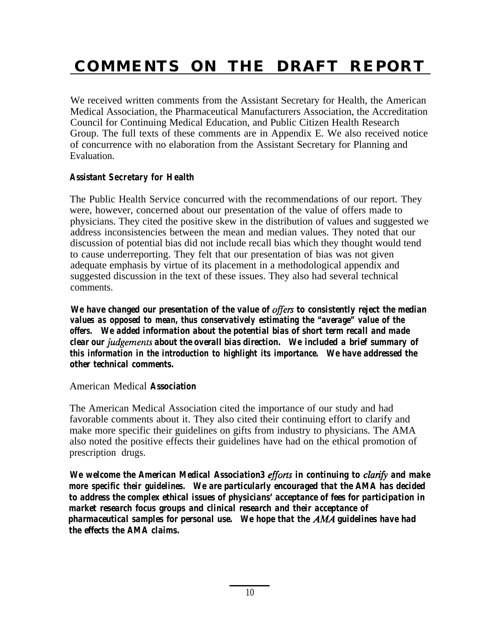## **COMMENTS ON THE DRAFT REPORT**

We received written comments from the Assistant Secretary for Health, the American Medical Association, the Pharmaceutical Manufacturers Association, the Accreditation Council for Continuing Medical Education, and Public Citizen Health Research Group. The full texts of these comments are in Appendix E. We also received notice of concurrence with no elaboration from the Assistant Secretary for Planning and Evaluation.

## **Assistant Secretary for Health**

The Public Health Service concurred with the recommendations of our report. They were, however, concerned about our presentation of the value of offers made to physicians. They cited the positive skew in the distribution of values and suggested we address inconsistencies between the mean and median values. They noted that our discussion of potential bias did not include recall bias which they thought would tend to cause underreporting. They felt that our presentation of bias was not given adequate emphasis by virtue of its placement in a methodological appendix and suggested discussion in the text of these issues. They also had several technical comments.

We have changed our presentation of the value of *offers* to consistently reject the median *values as opposed to mean, thus conservatively estimating the "average" value of the offers. We added information about the potential bias of short term recall and made clear our judgements about the overall bias direction. We included a brief summary of this information in the introduction to highlight its importance. We have addressed the other technical comments.* 

American Medical **Association** 

The American Medical Association cited the importance of our study and had favorable comments about it. They also cited their continuing effort to clarify and make more specific their guidelines on gifts from industry to physicians. The AMA also noted the positive effects their guidelines have had on the ethical promotion of prescription drugs.

*We welcome the American Medical Association3 efforts in continuing to clarify and make more specific their guidelines. We are particularly encouraged that the AMA has decided to address the complex ethical issues of physicians' acceptance of fees for participation in market research focus groups and clinical research and their acceptance of pharmaceutical samples for personal use. We hope that the AMA guidelines have had the effects the AMA claims.*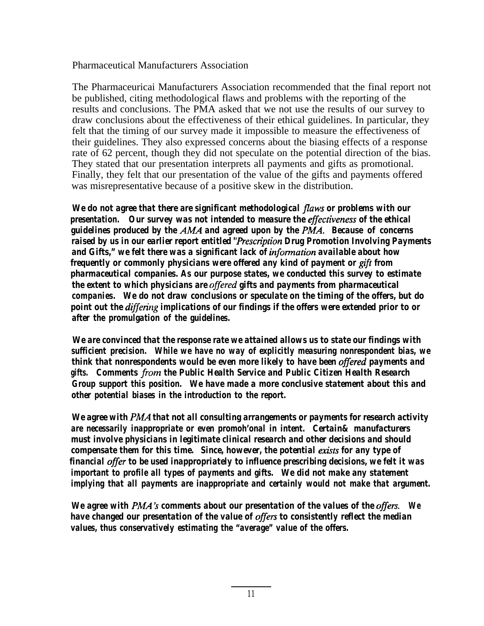Pharmaceutical Manufacturers Association

The Pharmaceuricai Manufacturers Association recommended that the final report not be published, citing methodological flaws and problems with the reporting of the results and conclusions. The PMA asked that we not use the results of our survey to draw conclusions about the effectiveness of their ethical guidelines. In particular, they felt that the timing of our survey made it impossible to measure the effectiveness of their guidelines. They also expressed concerns about the biasing effects of a response rate of 62 percent, though they did not speculate on the potential direction of the bias. They stated that our presentation interprets all payments and gifts as promotional. Finally, they felt that our presentation of the value of the gifts and payments offered was misrepresentative because of a positive skew in the distribution.

We do not agree that there are significant methodological flaws or problems with our *presentation. Our survey was not intended to measure the of the ethical guidelines produced by the and agreed upon by the Because of concerns*  raised by us in our earlier report entitled "Prescription Drug Promotion Involving Payments" and Gifts," we felt there was a significant lack of information available about how *frequently or commonly physicians were offered any kind of payment or gift from pharmaceutical companies. As our purpose states, we conducted this survey to estimate the extent to which physicians are gifts and payments from pharmaceutical companies. We do not draw conclusions or speculate on the timing of the offers, but do*  point out the differing implications of our findings if the offers were extended prior to or *after the promulgation of the guidelines.* 

*We are convinced that the response rate we attained allows us to state our findings with sufficient precision. While we have no way of explicitly measuring nonrespondent bias, we think that nonrespondents would be even more likely to have been offered payments and gifts. Comments the Public Health Service and Public Citizen Health Research Group support this position. We have made a more conclusive statement about this and other potential biases in the introduction to the report.* 

*We agree with PMA that not all consulting arrangements or payments for research activity are necessarily inappropriate or even promoh'onal in intent. Certain& manufacturers must involve physicians in legitimate clinical research and other decisions and should compensate them for this time. Since, however, the potential exists for any type of financial to be used inappropriately to influence prescribing decisions, we felt it was important to profile all types of payments and gifts. We did not make any statement implying that all payments are inappropriate and certainly would not make that argument.* 

*We agree with PMA's comments about our presentation of the values of the offers. We* have changed our presentation of the value of offers to consistently reflect the median *values, thus conservatively estimating the "average" value of the offers.*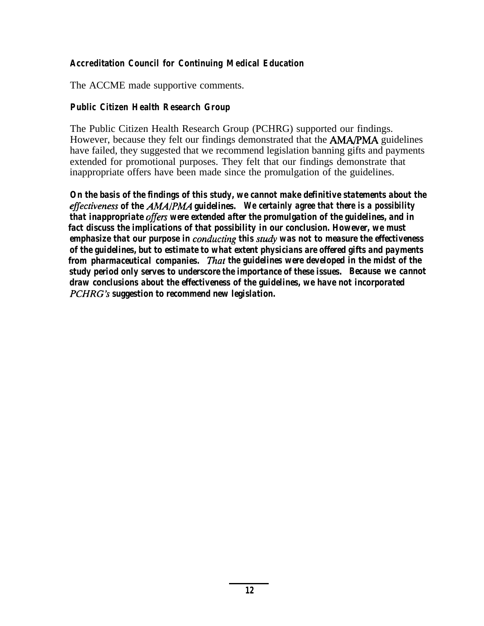## **Accreditation Council for Continuing Medical Education**

The ACCME made supportive comments.

## **Public Citizen Health Research Group**

The Public Citizen Health Research Group (PCHRG) supported our findings. However, because they felt our findings demonstrated that the **AMA/PMA** guidelines have failed, they suggested that we recommend legislation banning gifts and payments extended for promotional purposes. They felt that our findings demonstrate that inappropriate offers have been made since the promulgation of the guidelines.

*On the basis of the findings of this study, we cannot make definitive statements about the*  effectiveness of the AMA/PMA guidelines. We certainly agree that there is a possibility *that inappropriate offers were extended after the promulgation of the guidelines, and in fact discuss the implications of that possibility in our conclusion. However, we must*  emphasize that our purpose in conducting this study was not to measure the effectiveness *of the guidelines, but to estimate to what extent physicians are offered gifts and payments*  from pharmaceutical companies. That the guidelines were developed in the midst of the *study period only serves to underscore the importance of these issues. Because we cannot draw conclusions about the effectiveness of the guidelines, we have not incorporated PCHRG's suggestion to recommend new legislation.*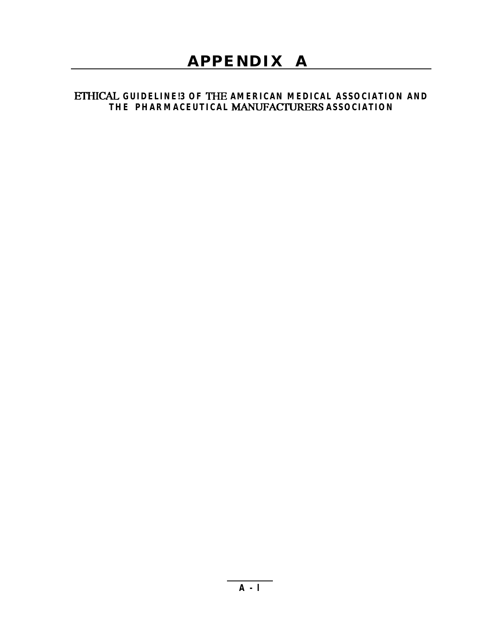## ETHICAL GUIDELINE!3 OF THE AMERICAN MEDICAL ASSOCIATION AND THE PHARMACEUTICAL MANUFACTURERS ASSOCIATION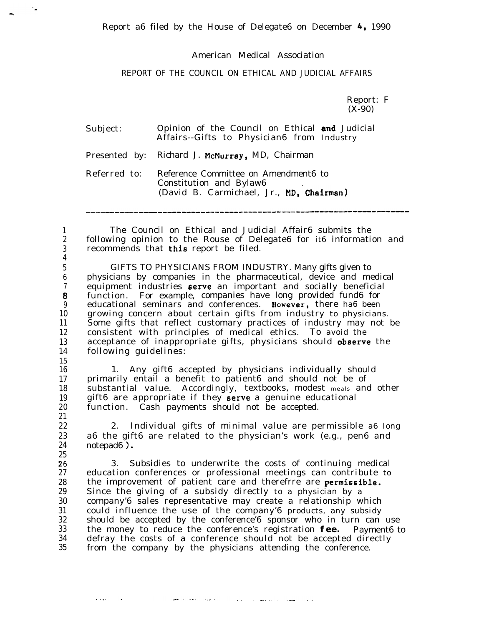#### American Medical Association

### REPORT OF THE COUNCIL ON ETHICAL AND JUDICIAL AFFAIRS

Report: F  $(X-90)$ 

Subject: Opinion of the Council on Ethical and Judicial Affairs--Gifts to Physician6 from Industry Presented by: Richard J. McMurray, MD, Chairman Referred to: Reference Committee on Amendment6 to Constitution and Bylaw6 (David B. Carmichael, Jr., MD, Chairman)

The Council on Ethical and Judicial Affair6 submits the following opinion to the Rouse of Delegate6 for it6 information and recommends that this report be filed.

GIFTS TO PHYSICIANS FROM INDUSTRY. Many gifts given to 5 physicians by companies in the pharmaceutical, device and medical 6 equipment industries **serve** an important and socially beneficial 7 8 function. For example, companies have long provided fund6 for educational seminars and conferences. However, there ha6 been 9 growing concern about certain gifts from industry to physicians. 10 11 Some gifts that reflect customary practices of industry may not be 12 consistent with principles of medical ethics. To avoid the 13 acceptance of inappropriate gifts, physicians should observe the 14 following guidelines: 15

16 17 18 19 20 21 1. Any gift6 accepted by physicians individually should primarily entail a benefit to patient6 and should not be of substantial value. Accordingly, textbooks, modest meals and other gift $6$  are appropriate if they serve a genuine educational function. Cash payments should not be accepted.

22 23 24 2. Individual gifts of minimal value are permissible a6 long a6 the gift6 are related to the physician's work (e.g., pen6 and notepad $6$ ).

 $\frac{25}{26}$ 27 28 29 30 31 32 33 34 35 3. Subsidies to underwrite the costs of continuing medical education conferences or professional meetings can contribute to the improvement of patient care and therefrre are **permissible.** Since the giving of a subsidy directly to a physician by a company'6 sales representative may create a relationship which could influence the use of the company'6 products, any subsidy should be accepted by the conference'6 sponsor who in turn can use the money to reduce the conference's registration **fee.** Payment6 to defray the costs of a conference should not be accepted directly from the company by the physicians attending the conference.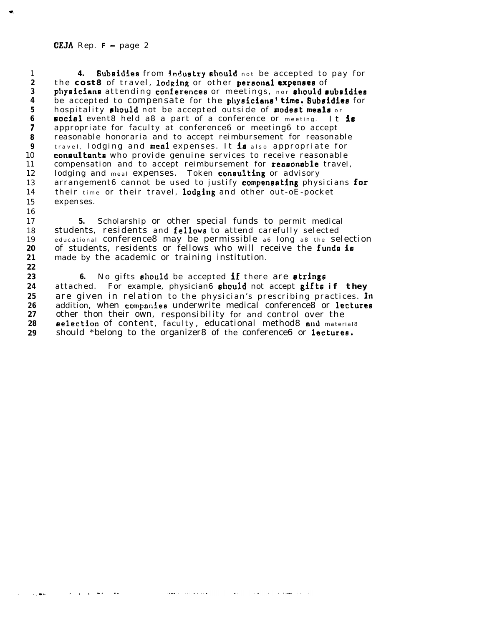#### CEJ $\Lambda$  Rep. **F** – page 2

16

. . .

1 4. Subsidies from industry should not be accepted to pay for **2** the cost8 of travel, lodging or other personal expenses of physicians attending conferences or meetings, nor should subsidies **3 4** be accepted to compensate for the physicians' time. Subsidies for hospitality should not be accepted outside of modest meals or **5** social event8 held a8 a part of a conference or meeting. It is **6**  $\overline{\mathbf{z}}$ appropriate for faculty at conference6 or meeting6 to accept **8** reasonable honoraria and to accept reimbursement for reasonable travel, lodging and meal expenses. It is also appropriate for **9** 10 consultants who provide genuine services to receive reasonable 11 compensation and to accept reimbursement for reasonable travel, 12 lodging and meal expenses. Token consulting or advisory 13 arrangement6 cannot be used to justify compensating physicians for their time or their travel, **lodging** and other out-oE-pocket 14 15 expenses.

17 18 19 **20 21 22 5.** Scholarship or other special funds to permit medical students, residents and fellows to attend carefully selected educational conference8 may be permissible a6 long a8 the selection of students, residents or fellows who will receive the funds is made by the academic or training institution.

**23 24 25 26 27 28 29** 6. No gifts should be accepted if there are strings attached. For example, physician6 **should** not accept **gifts if they** are given in relation to the physician's prescribing practices. In addition, when companies underwrite medical conference8 or lectures other thon their own, responsibility for and control over the selection of content, faculty, educational method8 and materials should \*belong to the organizer8 of the conference6 or lectures.

المتعدد فالتعمار والمصدد

 $\sim 100$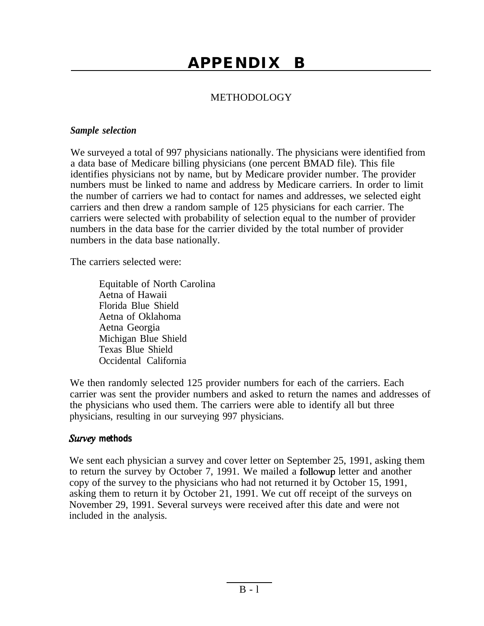## METHODOLOGY

## *Sample selection*

We surveyed a total of 997 physicians nationally. The physicians were identified from a data base of Medicare billing physicians (one percent BMAD file). This file identifies physicians not by name, but by Medicare provider number. The provider numbers must be linked to name and address by Medicare carriers. In order to limit the number of carriers we had to contact for names and addresses, we selected eight carriers and then drew a random sample of 125 physicians for each carrier. The carriers were selected with probability of selection equal to the number of provider numbers in the data base for the carrier divided by the total number of provider numbers in the data base nationally.

The carriers selected were:

Equitable of North Carolina Aetna of Hawaii Florida Blue Shield Aetna of Oklahoma Aetna Georgia Michigan Blue Shield Texas Blue Shield Occidental California

We then randomly selected 125 provider numbers for each of the carriers. Each carrier was sent the provider numbers and asked to return the names and addresses of the physicians who used them. The carriers were able to identify all but three physicians, resulting in our surveying 997 physicians.

## *methods*

We sent each physician a survey and cover letter on September 25, 1991, asking them to return the survey by October 7, 1991. We mailed a followup letter and another copy of the survey to the physicians who had not returned it by October 15, 1991, asking them to return it by October 21, 1991. We cut off receipt of the surveys on November 29, 1991. Several surveys were received after this date and were not included in the analysis.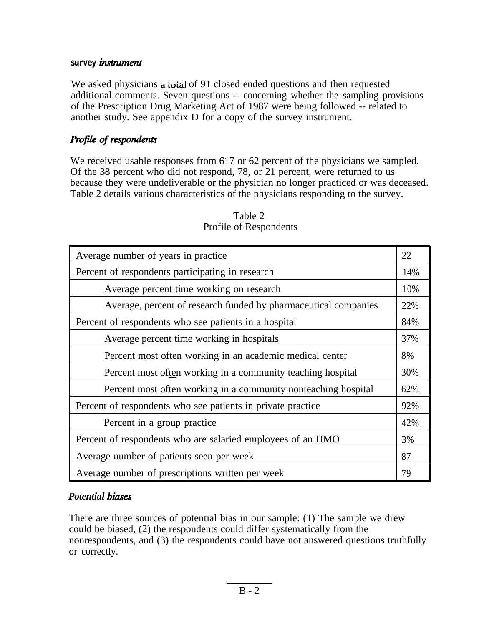## **survey**

We asked physicians a total of 91 closed ended questions and then requested additional comments. Seven questions -- concerning whether the sampling provisions of the Prescription Drug Marketing Act of 1987 were being followed -- related to another study. See appendix D for a copy of the survey instrument.

## Profile of respondents

We received usable responses from 617 or 62 percent of the physicians we sampled. Of the 38 percent who did not respond, 78, or 21 percent, were returned to us because they were undeliverable or the physician no longer practiced or was deceased. Table 2 details various characteristics of the physicians responding to the survey.

| Average number of years in practice                             | 22  |  |
|-----------------------------------------------------------------|-----|--|
| Percent of respondents participating in research                | 14% |  |
| Average percent time working on research                        | 10% |  |
| Average, percent of research funded by pharmaceutical companies | 22% |  |
| Percent of respondents who see patients in a hospital           | 84% |  |
| Average percent time working in hospitals                       | 37% |  |
| Percent most often working in an academic medical center        | 8%  |  |
| Percent most often working in a community teaching hospital     | 30% |  |
| Percent most often working in a community nonteaching hospital  | 62% |  |
| Percent of respondents who see patients in private practice     | 92% |  |
| Percent in a group practice                                     | 42% |  |
| Percent of respondents who are salaried employees of an HMO     |     |  |
| Average number of patients seen per week                        | 87  |  |
| Average number of prescriptions written per week                | 79  |  |

## Table 2 Profile of Respondents

## *Potential biases*

There are three sources of potential bias in our sample: (1) The sample we drew could be biased, (2) the respondents could differ systematically from the nonrespondents, and (3) the respondents could have not answered questions truthfully or correctly.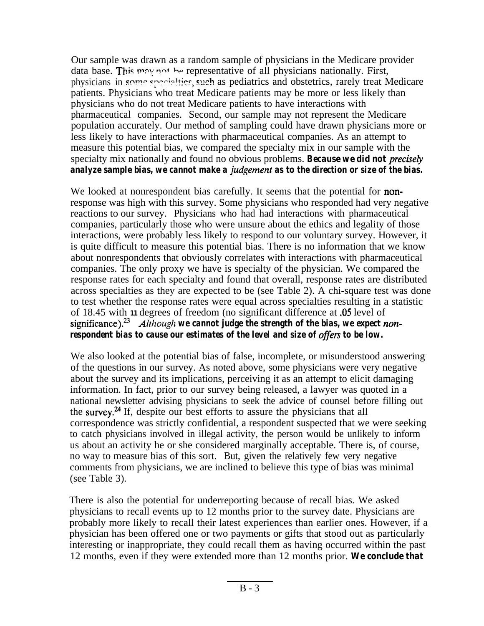Our sample was drawn as a random sample of physicians in the Medicare provider data base. This may not be representative of all physicians nationally. First, physicians in some specialities, such as pediatrics and obstetrics, rarely treat Medicare patients. Physicians who treat Medicare patients may be more or less likely than physicians who do not treat Medicare patients to have interactions with pharmaceutical companies. Second, our sample may not represent the Medicare population accurately. Our method of sampling could have drawn physicians more or less likely to have interactions with pharmaceutical companies. As an attempt to measure this potential bias, we compared the specialty mix in our sample with the specialty mix nationally and found no obvious problems. *Because we did not*  analyze sample bias, we cannot make a *judgement* as to the direction or size of the bias.

We looked at nonrespondent bias carefully. It seems that the potential for nonresponse was high with this survey. Some physicians who responded had very negative reactions to our survey. Physicians who had had interactions with pharmaceutical companies, particularly those who were unsure about the ethics and legality of those interactions, were probably less likely to respond to our voluntary survey. However, it is quite difficult to measure this potential bias. There is no information that we know about nonrespondents that obviously correlates with interactions with pharmaceutical companies. The only proxy we have is specialty of the physician. We compared the response rates for each specialty and found that overall, response rates are distributed across specialties as they are expected to be (see Table 2). A chi-square test was done to test whether the response rates were equal across specialties resulting in a statistic of 18.45 with 11 degrees of freedom (no significant difference at .05 level of significance).<sup>23</sup> Although we cannot judge the strength of the bias, we expect non*respondent bias to cause our estimates of the level and size of offers to be low.* 

We also looked at the potential bias of false, incomplete, or misunderstood answering of the questions in our survey. As noted above, some physicians were very negative about the survey and its implications, perceiving it as an attempt to elicit damaging information. In fact, prior to our survey being released, a lawyer was quoted in a national newsletter advising physicians to seek the advice of counsel before filling out the survey.<sup>24</sup> If, despite our best efforts to assure the physicians that all correspondence was strictly confidential, a respondent suspected that we were seeking to catch physicians involved in illegal activity, the person would be unlikely to inform us about an activity he or she considered marginally acceptable. There is, of course, no way to measure bias of this sort. But, given the relatively few very negative comments from physicians, we are inclined to believe this type of bias was minimal (see Table 3).

There is also the potential for underreporting because of recall bias. We asked physicians to recall events up to 12 months prior to the survey date. Physicians are probably more likely to recall their latest experiences than earlier ones. However, if a physician has been offered one or two payments or gifts that stood out as particularly interesting or inappropriate, they could recall them as having occurred within the past 12 months, even if they were extended more than 12 months prior. *We conclude that*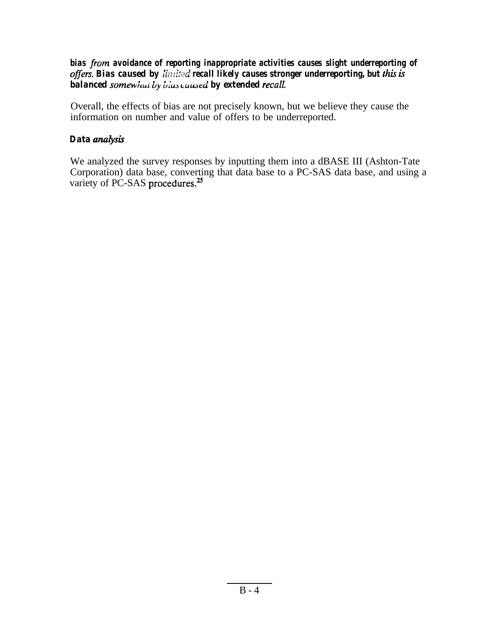## bias from avoidance of reporting inappropriate activities causes slight underreporting of offers. Bias caused by limited recall likely causes stronger underreporting, but this is *balanced somewhat by bias caused by extended recall.*

Overall, the effects of bias are not precisely known, but we believe they cause the information on number and value of offers to be underreported.

## *Data*

We analyzed the survey responses by inputting them into a dBASE III (Ashton-Tate Corporation) data base, converting that data base to a PC-SAS data base, and using a variety of PC-SAS procedures.<sup>25</sup>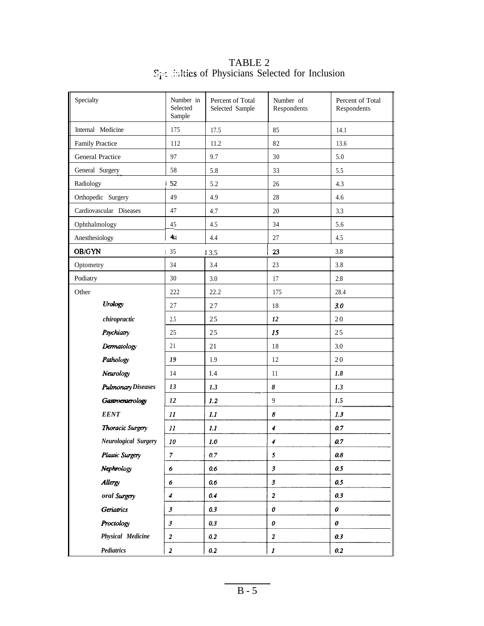| Specialty                   | Number in<br>Selected<br>Sample | Percent of Total<br>Selected Sample | Number of<br>Respondents    | Percent of Total<br>Respondents |
|-----------------------------|---------------------------------|-------------------------------------|-----------------------------|---------------------------------|
| Internal Medicine           | 175                             | 17.5                                | 85                          | 14.1                            |
| <b>Family Practice</b>      | 112                             | 11.2                                | 82                          | 13.6                            |
| General Practice            | 97                              | 9.7                                 | 30                          | 5.0                             |
| General Surgery             | 58                              | 5.8                                 | 33                          | 5.5                             |
| Radiology                   | 52                              | 5.2                                 | 26                          | 4.3                             |
| Orthopedic Surgery          | 49                              | 4.9                                 | 28                          | 4.6                             |
| Cardiovascular Diseases     | 47                              | 4.7                                 | 20                          | 3.3                             |
| Ophthalmology               | 45                              | 4.5                                 | 34                          | 5.6                             |
| Anesthesiology              | 444                             | 4.4                                 | 27                          | 4.5                             |
| OB/GYN                      | 135                             | I 3.5                               | 23                          | 3.8                             |
| Optometry                   | 34                              | 3.4                                 | 23                          | 3.8                             |
| Podiatry                    | 30                              | 3.0                                 | 17                          | 2.8                             |
| Other                       | 222                             | 22.2                                | 175                         | 28.4                            |
| Urology                     | 27                              | 27                                  | 18                          | 3.0                             |
| chiropractic                | $2.5\,$                         | 25                                  | $12\,$                      | $2\,0$                          |
| Psychiatry                  | 25                              | 25                                  | 15                          | 25                              |
| Dermatology                 | 21                              | 21                                  | 18                          | 3.0                             |
| Pathology                   | 19                              | 1.9                                 | 12                          | 20                              |
| Neurology                   | 14                              | I.4                                 | 11                          | 1.8                             |
| <b>Pulmonary Diseases</b>   | 13                              | 1.3                                 | 8                           | 1.3                             |
| Gastroenterology            | 12                              | 1.2                                 | 9                           | 1.5                             |
| <b>EENT</b>                 | 11                              | 1.1                                 | 8                           | 1.3                             |
| Thoracic Surgery            | 11                              | 1.1                                 | $\overline{\mathcal{L}}$    | 0.7                             |
| <b>Neurological Surgery</b> | 10                              | 1.0                                 | $\overline{\boldsymbol{z}}$ | 0.7                             |
| Plastic Surgery             | $\overline{z}$                  | 0.7                                 | 5                           | $\pmb{0.8}$                     |
| Nephrology                  | 6                               | 0.6                                 | $\boldsymbol{\mathfrak{z}}$ | 0.5                             |
| Allergy                     | 6                               | 0.6                                 | $\boldsymbol{\mathfrak{z}}$ | 0.5                             |
| oral Surgery                | 4                               | 0.4                                 | $\boldsymbol{2}$            | 0.3                             |
| Geriatrics                  | $\boldsymbol{\beta}$            | 0.3                                 | 0                           | 0                               |
| Proctology                  | $\boldsymbol{\beta}$            | 0.3                                 | 0                           | $\boldsymbol{\theta}$           |
| Physical Medicine           | $\pmb{2}$                       | 0.2                                 | $\overline{\mathbf{c}}$     | 0.3                             |
| Pediatrics                  | $\overline{\mathbf{c}}$         | 0.2                                 | $\boldsymbol{I}$            | $0.2\,$                         |

TABLE 2<br>S<sub>P</sub>c dialties of Physicians Selected for Inclusion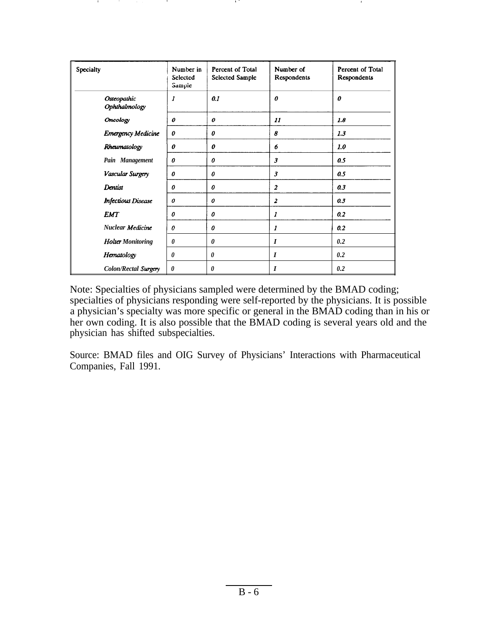| Specialty                    | Number in<br>Selected<br>Sample | Percent of Total<br><b>Selected Sample</b> | Number of<br>Respondents   | Percent of Total<br>Respondents |
|------------------------------|---------------------------------|--------------------------------------------|----------------------------|---------------------------------|
| Osteopathic<br>Ophthalmology | 1                               | 0.1                                        | $\boldsymbol{\theta}$      | 0                               |
| <b>Oncology</b>              | 0                               | $\theta$                                   | $\boldsymbol{\mathit{11}}$ | 1.8                             |
| <b>Emergency Medicine</b>    | 0                               | 0                                          | 8                          | 1.3                             |
| Rheumatology                 | 0                               | 0                                          | 6                          | 1.0                             |
| Pain Management              | 0                               | 0                                          | 3                          | 0.5                             |
| Vascular Surgery             | 0                               | 0                                          | 3                          | 0.5                             |
| Dennist                      | 0                               | 0                                          | $\overline{2}$             | 0.3                             |
| <b>Infectious Disease</b>    | 0                               | 0                                          | $\overline{2}$             | 0.3                             |
| <b>EMT</b>                   | 0                               | 0                                          | 1                          | 0.2                             |
| <b>Nuclear Medicine</b>      | 0                               | 0                                          | 1                          | 0.2                             |
| <b>Holter Monitoring</b>     | 0                               | $\boldsymbol{\theta}$                      | $\boldsymbol{I}$           | 0.2                             |
| Hematology                   | 0                               | 0                                          | I                          | 0.2                             |
| Colon/Rectal Surgery         | $\boldsymbol{\theta}$           | 0                                          | $\boldsymbol{I}$           | 0.2                             |

Note: Specialties of physicians sampled were determined by the BMAD coding; specialties of physicians responding were self-reported by the physicians. It is possible a physician's specialty was more specific or general in the BMAD coding than in his or her own coding. It is also possible that the BMAD coding is several years old and the physician has shifted subspecialties.

Source: BMAD files and OIG Survey of Physicians' Interactions with Pharmaceutical Companies, Fall 1991.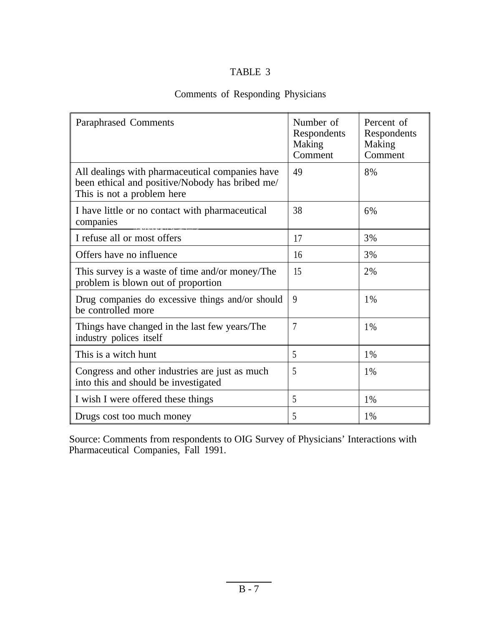## TABLE 3

## Comments of Responding Physicians

| Paraphrased Comments                                                                                                             | Number of<br>Respondents<br>Making<br>Comment | Percent of<br>Respondents<br>Making<br>Comment |
|----------------------------------------------------------------------------------------------------------------------------------|-----------------------------------------------|------------------------------------------------|
| All dealings with pharmaceutical companies have<br>been ethical and positive/Nobody has bribed me/<br>This is not a problem here | 49                                            | 8%                                             |
| I have little or no contact with pharmaceutical<br>companies                                                                     | 38                                            | 6%                                             |
| I refuse all or most offers                                                                                                      | 17                                            | 3%                                             |
| Offers have no influence                                                                                                         | 16                                            | 3%                                             |
| This survey is a waste of time and/or money/The<br>problem is blown out of proportion                                            | 15                                            | 2%                                             |
| Drug companies do excessive things and/or should<br>be controlled more                                                           | 9                                             | $1\%$                                          |
| Things have changed in the last few years/The<br>industry polices itself                                                         | 7                                             | 1%                                             |
| This is a witch hunt                                                                                                             | 5                                             | 1%                                             |
| Congress and other industries are just as much<br>into this and should be investigated                                           | 5                                             | 1%                                             |
| I wish I were offered these things                                                                                               | 5                                             | 1%                                             |
| Drugs cost too much money                                                                                                        | 5                                             | 1%                                             |

Source: Comments from respondents to OIG Survey of Physicians' Interactions with Pharmaceutical Companies, Fall 1991.

 $\overline{\phantom{a}}$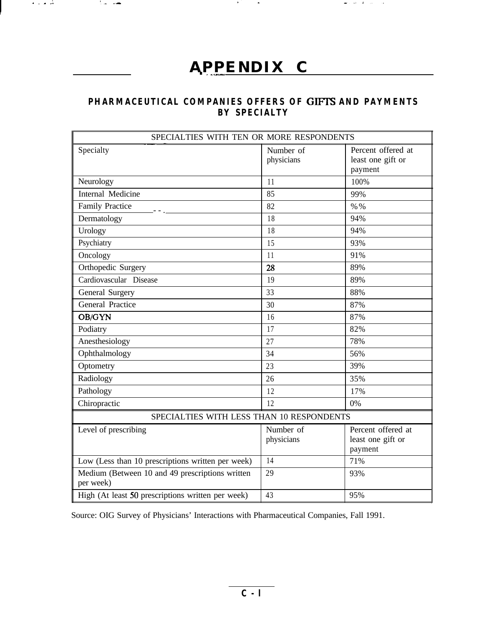## **APPENDIX C . \_**

 $\pmb{\omega}$  is seen for the  $\omega$  -to-

 $\bullet$ 

 $\sigma_{\rm c}$  ,  $\sigma_{\rm c}$  ,  $\sigma_{\rm c}$ 

حمد المناك

## PHARMACEUTICAL COMPANIES OFFERS OF GIFTS AND PAYMENTS **BY SPECIALTY**

| SPECIALTIES WITH TEN OR MORE RESPONDENTS                     |                         |                                                    |  |  |
|--------------------------------------------------------------|-------------------------|----------------------------------------------------|--|--|
| Specialty                                                    | Number of<br>physicians | Percent offered at<br>least one gift or<br>payment |  |  |
| Neurology                                                    | 11                      | 100%                                               |  |  |
| Internal Medicine                                            | 85                      | 99%                                                |  |  |
| <b>Family Practice</b>                                       | 82                      | % 9/6                                              |  |  |
| Dermatology                                                  | 18                      | 94%                                                |  |  |
| Urology                                                      | 18                      | 94%                                                |  |  |
| Psychiatry                                                   | 15                      | 93%                                                |  |  |
| Oncology                                                     | 11                      | 91%                                                |  |  |
| Orthopedic Surgery                                           | 28                      | 89%                                                |  |  |
| Cardiovascular Disease                                       | 19                      | 89%                                                |  |  |
| General Surgery                                              | 33                      | 88%                                                |  |  |
| General Practice                                             | 30                      | 87%                                                |  |  |
| OB/GYN                                                       | 16                      | 87%                                                |  |  |
| Podiatry                                                     | 17                      | 82%                                                |  |  |
| Anesthesiology                                               | 27                      | 78%                                                |  |  |
| Ophthalmology                                                | 34                      | 56%                                                |  |  |
| Optometry                                                    | 23                      | 39%                                                |  |  |
| Radiology                                                    | 26                      | 35%                                                |  |  |
| Pathology                                                    | 12                      | 17%                                                |  |  |
| Chiropractic                                                 | 12                      | 0%                                                 |  |  |
| SPECIALTIES WITH LESS THAN 10 RESPONDENTS                    |                         |                                                    |  |  |
| Level of prescribing                                         | Number of<br>physicians | Percent offered at<br>least one gift or<br>payment |  |  |
| Low (Less than 10 prescriptions written per week)            | 14                      | 71%                                                |  |  |
| Medium (Between 10 and 49 prescriptions written<br>per week) | 29                      | 93%                                                |  |  |
| High (At least 50 prescriptions written per week)            | 43                      | 95%                                                |  |  |

Source: OIG Survey of Physicians' Interactions with Pharmaceutical Companies, Fall 1991.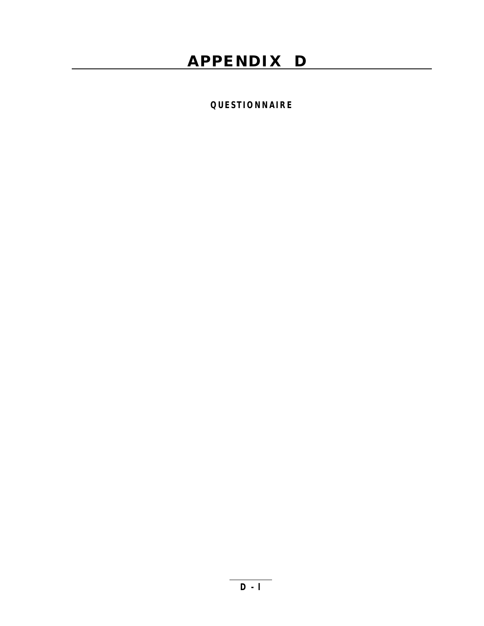## **APPENDIX D**

## **QUESTIONNAIRE**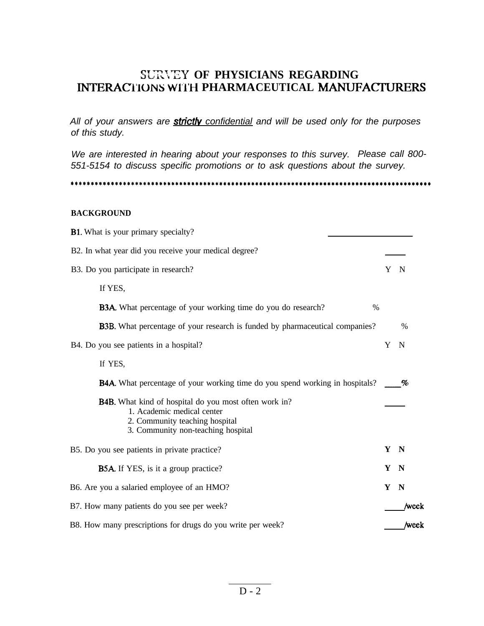## **SURVEY OF PHYSICIANS REGARDING INTERACTIONS WITH PHARMACEUTICAL MANUFACTURERS**

All of your answers are **strictly** confidential and will be used only for the purposes *of this study.* 

*We are interested in hearing about your responses to this survey. Please call 800- 551-5154 to discuss specific promotions or to ask questions about the survey.* 

### **BACKGROUND**

| <b>B1.</b> What is your primary specialty?                                                                                                                         |     |                |
|--------------------------------------------------------------------------------------------------------------------------------------------------------------------|-----|----------------|
| B2. In what year did you receive your medical degree?                                                                                                              |     |                |
| B3. Do you participate in research?                                                                                                                                | Y   | $\mathbf N$    |
| If YES,                                                                                                                                                            |     |                |
| <b>B3A.</b> What percentage of your working time do you do research?<br>%                                                                                          |     |                |
| <b>B3B.</b> What percentage of your research is funded by pharmaceutical companies?                                                                                |     | %              |
| B4. Do you see patients in a hospital?                                                                                                                             | Y N |                |
| If YES,                                                                                                                                                            |     |                |
| <b>B4A.</b> What percentage of your working time do you spend working in hospitals?                                                                                |     | %              |
| <b>B4B.</b> What kind of hospital do you most often work in?<br>1. Academic medical center<br>2. Community teaching hospital<br>3. Community non-teaching hospital |     |                |
| B5. Do you see patients in private practice?                                                                                                                       | Y   | $\blacksquare$ |
| <b>B5A.</b> If YES, is it a group practice?                                                                                                                        | Y N |                |
| B6. Are you a salaried employee of an HMO?                                                                                                                         | Y   | $\mathbf N$    |
| B7. How many patients do you see per week?                                                                                                                         |     | /week          |
| B8. How many prescriptions for drugs do you write per week?                                                                                                        |     | /week          |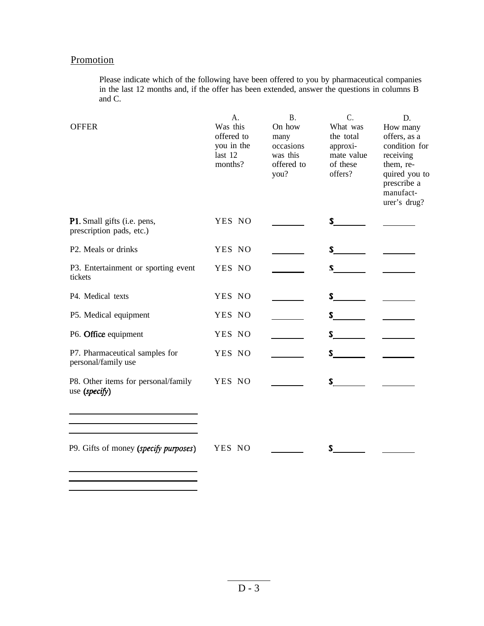## **Promotion**

Please indicate which of the following have been offered to you by pharmaceutical companies in the last 12 months and, if the offer has been extended, answer the questions in columns B and C.

| <b>OFFER</b>                                            | A.<br>Was this<br>offered to<br>you in the<br>last 12<br>months? | <b>B.</b><br>On how<br>many<br>occasions<br>was this<br>offered to<br>you? | C.<br>What was<br>the total<br>approxi-<br>mate value<br>of these<br>offers? | D.<br>How many<br>offers, as a<br>condition for<br>receiving<br>them, re-<br>quired you to<br>prescribe a<br>manufact-<br>urer's drug? |
|---------------------------------------------------------|------------------------------------------------------------------|----------------------------------------------------------------------------|------------------------------------------------------------------------------|----------------------------------------------------------------------------------------------------------------------------------------|
| P1. Small gifts (i.e. pens,<br>prescription pads, etc.) | YES NO                                                           |                                                                            | \$                                                                           |                                                                                                                                        |
| P2. Meals or drinks                                     | YES NO                                                           |                                                                            | \$                                                                           |                                                                                                                                        |
| P3. Entertainment or sporting event<br>tickets          | YES NO                                                           |                                                                            | S                                                                            |                                                                                                                                        |
| P4. Medical texts                                       | YES NO                                                           |                                                                            | S                                                                            |                                                                                                                                        |
| P5. Medical equipment                                   | YES NO                                                           |                                                                            | S                                                                            |                                                                                                                                        |
| P6. Office equipment                                    | YES NO                                                           |                                                                            | S                                                                            |                                                                                                                                        |
| P7. Pharmaceutical samples for<br>personal/family use   | YES NO                                                           |                                                                            | S                                                                            |                                                                                                                                        |
| P8. Other items for personal/family<br>use (specify)    | YES NO                                                           |                                                                            | \$                                                                           |                                                                                                                                        |
|                                                         |                                                                  |                                                                            |                                                                              |                                                                                                                                        |
| P9. Gifts of money (specify purposes)                   | YES NO                                                           |                                                                            | \$                                                                           |                                                                                                                                        |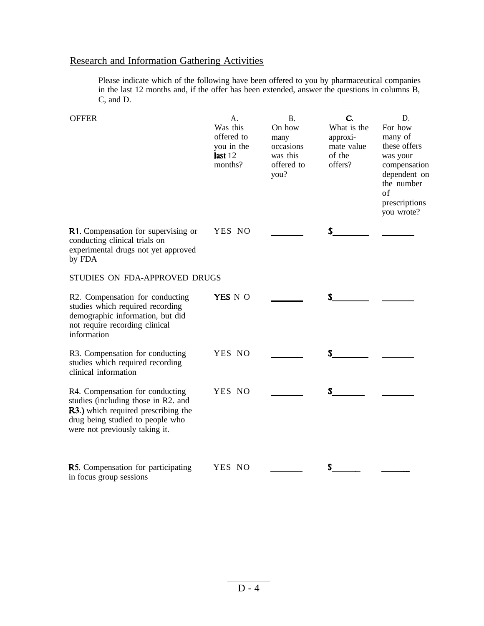## Research and Information Gathering Activities

Please indicate which of the following have been offered to you by pharmaceutical companies in the last 12 months and, if the offer has been extended, answer the questions in columns B, C, and D.

| <b>OFFER</b>                                                                                                                                                                                | A.<br>Was this<br>offered to<br>you in the<br>last $12$<br>months? | <b>B.</b><br>On how<br>many<br>occasions<br>was this<br>offered to<br>you? | C.<br>What is the<br>approxi-<br>mate value<br>of the<br>offers? | D.<br>For how<br>many of<br>these offers<br>was your<br>compensation<br>dependent on<br>the number<br>of<br>prescriptions<br>you wrote? |
|---------------------------------------------------------------------------------------------------------------------------------------------------------------------------------------------|--------------------------------------------------------------------|----------------------------------------------------------------------------|------------------------------------------------------------------|-----------------------------------------------------------------------------------------------------------------------------------------|
| <b>R1.</b> Compensation for supervising or<br>conducting clinical trials on<br>experimental drugs not yet approved<br>by FDA                                                                | YES NO                                                             |                                                                            | \$                                                               |                                                                                                                                         |
| STUDIES ON FDA-APPROVED DRUGS                                                                                                                                                               |                                                                    |                                                                            |                                                                  |                                                                                                                                         |
| R2. Compensation for conducting<br>studies which required recording<br>demographic information, but did<br>not require recording clinical<br>information                                    | YES NO                                                             |                                                                            | \$                                                               |                                                                                                                                         |
| R3. Compensation for conducting<br>studies which required recording<br>clinical information                                                                                                 | YES NO                                                             |                                                                            | S                                                                |                                                                                                                                         |
| R4. Compensation for conducting<br>studies (including those in R2. and<br><b>R3.</b> ) which required prescribing the<br>drug being studied to people who<br>were not previously taking it. | YES NO                                                             |                                                                            | \$                                                               |                                                                                                                                         |
| R5. Compensation for participating<br>in focus group sessions                                                                                                                               | YES NO                                                             |                                                                            | \$                                                               |                                                                                                                                         |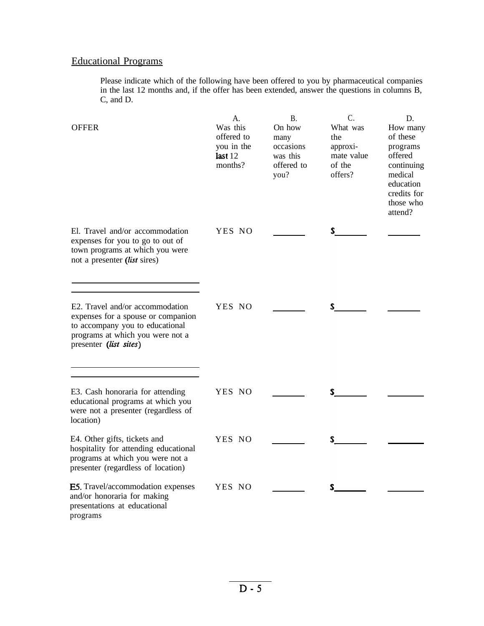## Educational Programs

Please indicate which of the following have been offered to you by pharmaceutical companies in the last 12 months and, if the offer has been extended, answer the questions in columns B, C, and D.

| <b>OFFER</b>                                                                                                                                                           | A.<br>Was this<br>offered to<br>you in the<br>last <sub>12</sub><br>months? | В.<br>On how<br>many<br>occasions<br>was this<br>offered to<br>you? | C.<br>What was<br>the<br>approxi-<br>mate value<br>of the<br>offers? | D.<br>How many<br>of these<br>programs<br>offered<br>continuing<br>medical<br>education<br>credits for<br>those who<br>attend? |
|------------------------------------------------------------------------------------------------------------------------------------------------------------------------|-----------------------------------------------------------------------------|---------------------------------------------------------------------|----------------------------------------------------------------------|--------------------------------------------------------------------------------------------------------------------------------|
| El. Travel and/or accommodation<br>expenses for you to go to out of<br>town programs at which you were<br>not a presenter (list sires)                                 | YES NO                                                                      |                                                                     | S                                                                    |                                                                                                                                |
| E2. Travel and/or accommodation<br>expenses for a spouse or companion<br>to accompany you to educational<br>programs at which you were not a<br>presenter (list sites) | YES NO                                                                      |                                                                     | S.                                                                   |                                                                                                                                |
| E3. Cash honoraria for attending<br>educational programs at which you<br>were not a presenter (regardless of<br>location)                                              | YES NO                                                                      |                                                                     | S                                                                    |                                                                                                                                |
| E4. Other gifts, tickets and<br>hospitality for attending educational<br>programs at which you were not a<br>presenter (regardless of location)                        | YES NO                                                                      |                                                                     | S                                                                    |                                                                                                                                |
| E5. Travel/accommodation expenses<br>and/or honoraria for making<br>presentations at educational<br>programs                                                           | YES NO                                                                      |                                                                     | S                                                                    |                                                                                                                                |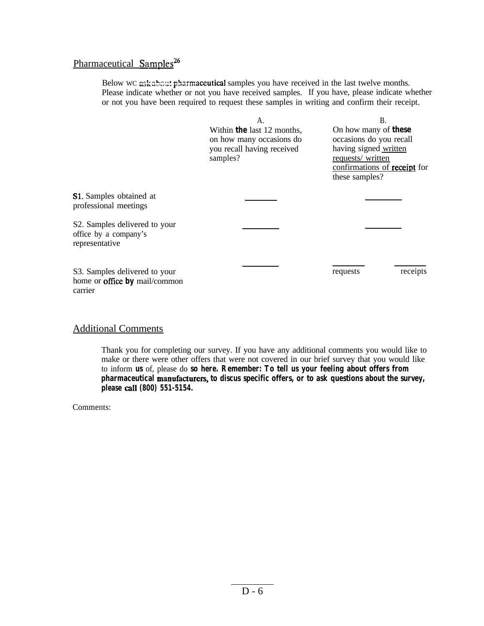## Pharmaceutical Samples<sup>26</sup>

Below WC ask about pharmaceutical samples you have received in the last twelve months. Please indicate whether or not you have received samples. If you have, please indicate whether or not you have been required to request these samples in writing and confirm their receipt.

|                                                                                  | А.<br>Within <b>the</b> last 12 months,<br>on how many occasions do<br>you recall having received<br>samples? | <b>B</b> .<br>On how many of <b>these</b><br>occasions do you recall<br>having signed written<br>requests/ written<br>confirmations of <b>receipt</b> for<br>these samples? |
|----------------------------------------------------------------------------------|---------------------------------------------------------------------------------------------------------------|-----------------------------------------------------------------------------------------------------------------------------------------------------------------------------|
| <b>S1.</b> Samples obtained at<br>professional meetings                          |                                                                                                               |                                                                                                                                                                             |
| S2. Samples delivered to your<br>office by a company's<br>representative         |                                                                                                               |                                                                                                                                                                             |
| S3. Samples delivered to your<br>home or <b>office by</b> mail/common<br>carrier |                                                                                                               | receipts<br>requests                                                                                                                                                        |

### Additional Comments

Thank you for completing our survey. If you have any additional comments you would like to make or there were other offers that were not covered in our brief survey that you would like to inform **us** of, please do **so here. Remember: To tell us your feeling about offers from**  pharmaceutical manufacturers, to discus specific offers, or to ask questions about the survey, **please (800) 551-5154.** 

Comments: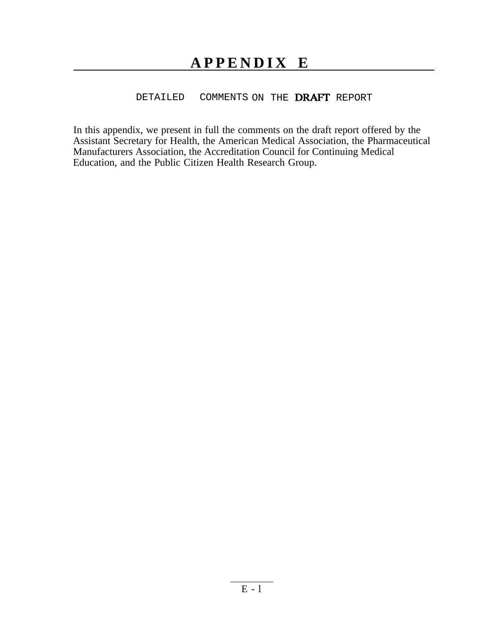## **APPENDIX E**

## DETAILED COMMENTS ON THE **DRAFT** REPORT

In this appendix, we present in full the comments on the draft report offered by the Assistant Secretary for Health, the American Medical Association, the Pharmaceutical Manufacturers Association, the Accreditation Council for Continuing Medical Education, and the Public Citizen Health Research Group.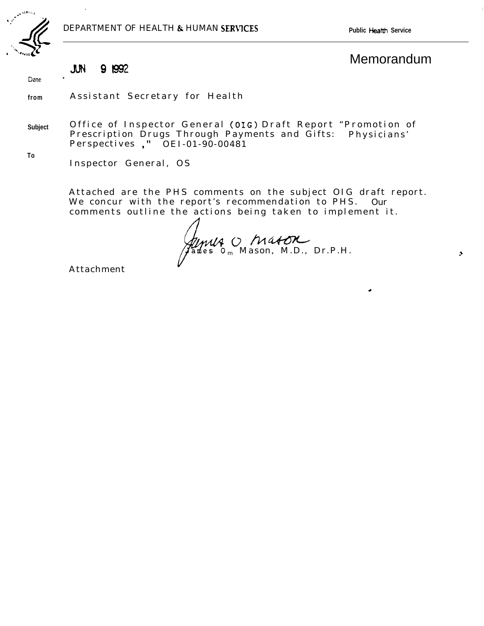

DEPARTMENT OF HEALTH & HUMAN **SERVICES** Public Health Service

## **Memorandum**

 $\mathbf{A}$ 

Date

**JUN** 

**from** Assistant Secretary for Health

9 1992

Subject Office of Inspector General (01G) Draft Report "Promotion of Prescription Drugs Through Payments and Gifts: Physicians' Perspectives OEI-01-90-00481

**To** 

Inspector General, OS

Attached are the PHS comments on the subject OIG draft report. We concur with the report's recommendation to PHS. Our comments outline the actions being taken to implement it.

June O Maton

Attachment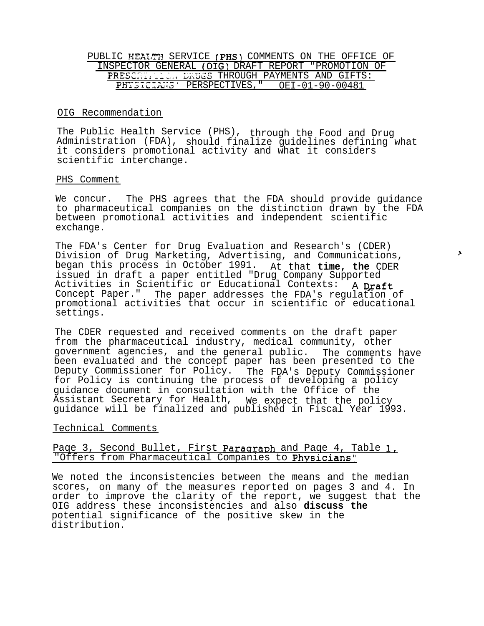### PUBLIC HEALTH SERVICE (PHS) COMMENTS ON THE OFFICE OF INSPECTOR GENERAL (OIG) DRAFT REPORT "PROMOTION OF PRESCRIPTION DRUGS THROUGH PAYMENTS AND GIFTS: PHYSICIANS' PERSPECTIVES, " OEI-01-90-00481

#### OIG Recommendation

The Public Health Service (PHS), through the Food and Drug Administration (FDA), should finalize guidelines defining what it considers promotional activity and what it considers scientific interchange.

#### PHS Comment

We concur. The PHS agrees that the FDA should provide guidance to pharmaceutical companies on the distinction drawn by the FDA between promotional activities and independent scientific exchange.

 $\overline{\mathbf{r}}$ 

The FDA's Center for Drug Evaluation and Research's (CDER) Division of Drug Marketing, Advertising, and Communications, began this process in October 1991. At that **time, the** CDER issued in draft a paper entitled "Drug Company Supported Activities in Scientific or Educational Contexts:  $A$  Draft Concept Paper." The paper addresses the FDA's regulation of promotional activities that occur in scientific or educational settings.

The CDER requested and received comments on the draft paper from the pharmaceutical industry, medical community, other government agencies, and the general public. The comments have been evaluated and the concept paper has been presented to the Deputy Commissioner for Policy. The FDA's Deputy Commissioner for Policy is continuing the process of developing a policy guidance document in consultation with the Office of the Assistant Secretary for Health, We expect that the policy guidance will be finalized and published in Fiscal Year 1993.

### Technical Comments

### Paqe 3, Second Bullet, First Paragraph and Paqe 4, Table 1, "Offers from Pharmaceutical Companies to Physicians"

We noted the inconsistencies between the means and the median scores, on many of the measures reported on pages 3 and 4. In order to improve the clarity of the report, we suggest that the OIG address these inconsistencies and also **discuss the**  potential significance of the positive skew in the distribution.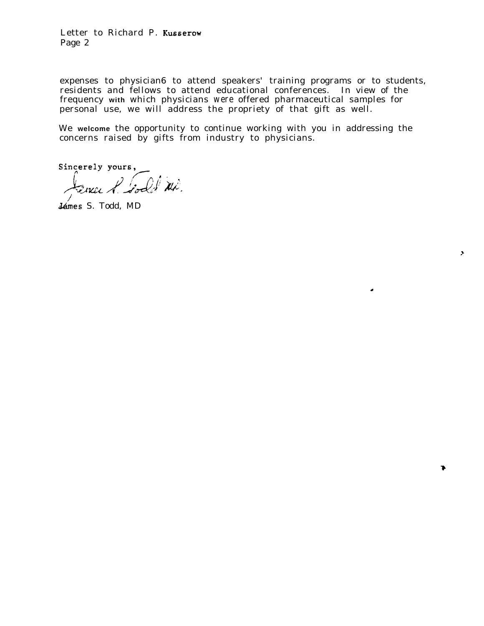Letter to Richard P. Page 2

expenses to physician6 to attend speakers' training programs or to students, residents and fellows to attend educational conferences. In view of the frequency **with** which physicians *were* offered pharmaceutical samples for personal use, we will address the propriety of that gift as well.

We **welcome** the opportunity to continue working with you in addressing the concerns raised by gifts from industry to physicians.

 $\boldsymbol{\lambda}$ 

 $\bullet$ 

 $\bullet$ 

Sincerely yours, Jener R. Gold Mi.

Jámes S. Todd, MD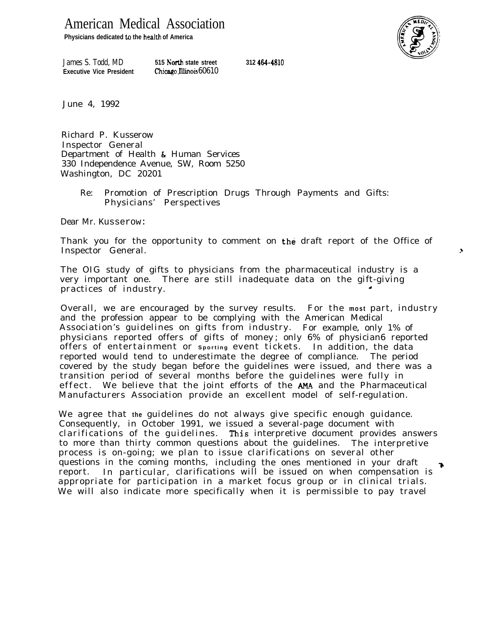## American Medical Association

Physicians dedicated to the health of America

James S. Todd, MD 515 North state street **Executive Vice President Chicago Illinois60610** 

**312** 



 $\bullet$ 

June 4, 1992

Richard P. Kusserow Inspector General Department of Health & Human Services 330 Independence Avenue, SW, Room 5250 Washington, DC 20201

> Re: Promotion of Prescription Drugs Through Payments and Gifts: Physicians' Perspectives

Dear Mr. Kusserow:

Thank you for the opportunity to comment on the draft report of the Office of Inspector General.

The OIG study of gifts to physicians from the pharmaceutical industry is a very important one. There are still inadequate data on the gift-giving practices of industry.

Overall, we are encouraged by the survey results. For the **most** part, industry and the profession appear to be complying with the American Medical Association's guidelines on gifts from industry. For example, only 1% of physicians reported offers of gifts of money ; only 6% of physician6 reported offers of entertainment or **Sporting** event tickets. In addition, the data reported would tend to underestimate the degree of compliance. The period covered by the study began before the guidelines were issued, and there was a transition period of several months before the guidelines were fully in effect. We believe that the joint efforts of the AMA and the Pharmaceutical Manufacturers Association provide an excellent model of self-regulation.

We agree that **the** guidelines do not always give specific enough guidance. Consequently, in October 1991, we issued a several-page document with clarifications of the guidelines. This interpretive document provides answers to more than thirty common questions about the guidelines. The interpretive process is on-going; we plan to issue clarifications on several other questions in the coming months, including the ones mentioned in your draft report. In particular, clarifications will be issued on when compensation is appropriate for participation in a market focus group or in clinical trials. We will also indicate more specifically when it is permissible to pay travel \*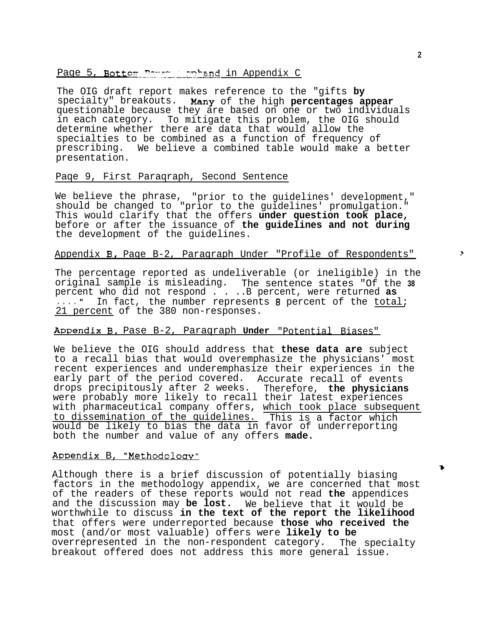## Page 5, Bottor Boussy - aphand in Appendix C

The OIG draft report makes reference to the "gifts **by** specialty" breakouts. Many of the high percentages appear questionable because they are based on one or two individuals in each category. To mitigate this problem, the OIG should determine whether there are data that would allow the specialties to be combined as a function of frequency of prescribing. We believe a combined table would make a better presentation.

#### Paqe 9, First Paraqraph, Second Sentence

We believe the phrase, "prior to the guidelines' development," should be changed to "prior to the guidelines' promulgation." This would clarify that the offers **under question took place,** before or after the issuance of **the guidelines and not during** the development of the guidelines.

### Appendix B, Paqe B-2, Paragraph Under "Profile of Respondents"

The percentage reported as undeliverable (or ineligible) in the original sample is misleading. The sentence states "Of the **38**  percent who did not respond . . ..B percent, were returned **as**<br>...." In fact, the number represents **8** percent of the <u>total</u>; 21 percent of the 380 non-responses.

#### Appendix B, Pase B-2, Paragraph Under "Potential Biases"

We believe the OIG should address that **these data are** subject to a recall bias that would overemphasize the physicians' most recent experiences and underemphasize their experiences in the early part of the period covered. Accurate recall of events drops precipitously after 2 weeks. Therefore, **the physicians** were probably more likely to recall their latest experiences with pharmaceutical company offers, which took place subsequent to dissemination of the quidelines. This is a factor which would be likely to bias the data in favor of underreporting both the number and value of any offers **made.**

### Appendix B, "Methodology"

Although there is a brief discussion of potentially biasing factors in the methodology appendix, we are concerned that most of the readers of these reports would not read **the** appendices and the discussion may **be lost.** We believe that it would be worthwhile to discuss **in the text of the report the likelihood** that offers were underreported because **those who received the** most (and/or most valuable) offers were **likely to be** overrepresented in the non-respondent category. The specialty breakout offered does not address this more general issue.

 $\mathbf{A}$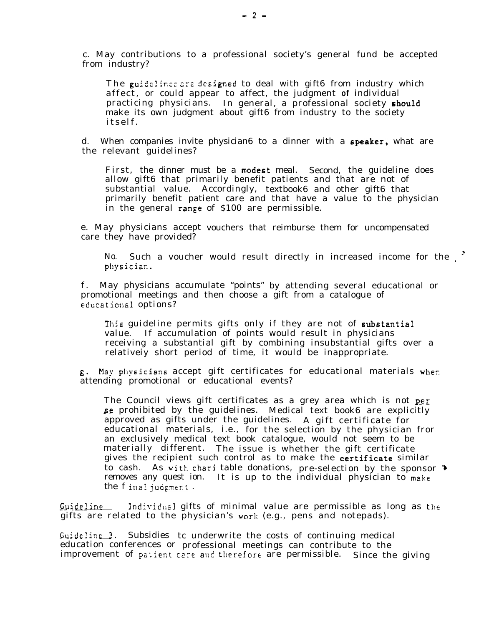c. May contributions to a professional society's general fund be accepted from industry?

The guidelines are designed to deal with gift6 from industry which affect, or could appear to affect, the judgment **of** individual practicing physicians. In general, a professional society should make its own judgment about gift6 from industry to the society itself.

d. When companies invite physician to a dinner with a speaker, what are the relevant guidelines?

First, the dinner must be a modest meal. Second, the guideline does allow gift6 that primarily benefit patients and that are not of substantial value. Accordingly, textbook6 and other gift6 that primarily benefit patient care and that have a value to the physician in the general range of  $$100$  are permissible.

e. May physicians accept vouchers that reimburse them for uncompensated care they have provided?

No. Such a voucher would result directly in increased income for the  $\ddot{\phantom{a}}$ 

f. May physicians accumulate "points" by attending several educational or promotional meetings and then choose a gift from a catalogue of educational options?

This guideline permits gifts only if they are not of substantial value. If accumulation of points would result in physicians receiving a substantial gift by combining insubstantial gifts over a relativeiy short period of time, it would be inappropriate.

g. May physicians accept gift certificates for educational materials when attending promotional or educational events?

The Council views gift certificates as a grey area which is not per prohibited by the guidelines. Medical text book6 are explicitly approved as gifts under the guidelines. A gift certificate for educational materials, i.e., for the selection by the physician fror an exclusively medical text book catalogue, would not seem to be materially different. The issue is whether the gift certificate gives the recipient such control as to make the certificate similar to cash. As with chari table donations, pre-selection by the sponsor  $\rightarrow$ removes any quest ion. It is up to the individual physician to make the  $f$  inal judgment.

Individual gifts of minimal value are permissible as long as the <u>Guideline - </u> gifts are related to the physician's work (e.g., pens and notepads).

 $Guigeline 3.$  Subsidies tc underwrite the costs of continuing medical education conferences or professional meetings can contribute to the improvement of patient care and therefore are permissible. Since the giving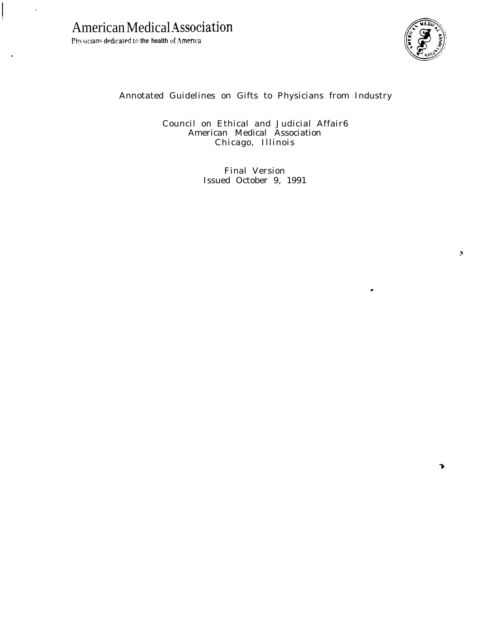$\overline{\phantom{a}}$ 

 $\bullet$ 



 $\mathbf{A}$ 

 $\ddot{\bullet}$ 

 $\bullet$ 

## Annotated Guidelines on Gifts to Physicians from Industry

Council on Ethical and Judicial Affair6 American Medical Association Chicago, Illinois

> Final Version Issued October 9, 1991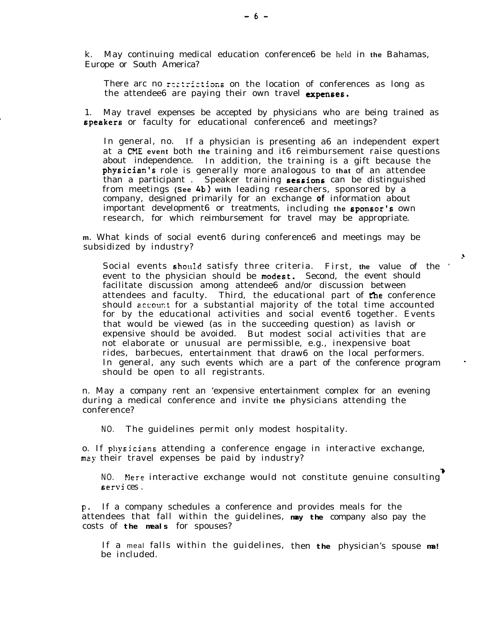k. May continuing medical education conference6 be held in **the** Bahamas, Europe or South America?

There arc no restrictions on the location of conferences as long as the attendee6 are paying their own travel expenses.

1. May travel expenses be accepted by physicians who are being trained as speakers or faculty for educational conference6 and meetings?

In general, no. If a physician is presenting a6 an independent expert at a **event** both **the** training and it6 reimbursement raise questions about independence. In addition, the training is a gift because the physician's role is generally more analogous to that of an attendee than a participant. Speaker training sessions can be distinguished from meetings (See 4b) with leading researchers, sponsored by a company, designed primarily for an exchange **of** information about important development6 or treatments, including the sponsor's own research, for which reimbursement for travel may be appropriate.

**m.** What kinds of social event6 during conference6 and meetings may be subsidized by industry?

Social events should satisfy three criteria. First, the value of the ' event to the physician should be modest. Second, the event should facilitate discussion among attendee6 and/or discussion between attendees and faculty. Third, the educational part of the conference should account for a substantial majority of the total time accounted for by the educational activities and social event6 together. Events that would be viewed (as in the succeeding question) as lavish or expensive should be avoided. But modest social activities that are not elaborate or unusual are permissible, e.g., inexpensive boat rides, barbecues, entertainment that draw6 on the local performers. In general, any such events which are a part of the conference program should be open to all registrants.

 $\mathbf{A}$ 

n. May a company rent an 'expensive entertainment complex for an evening during a medical conference and invite **the** physicians attending the conference?

NO. The guidelines permit only modest hospitality.

o. If physicians attending a conference engage in interactive exchange, may their travel expenses be paid by industry?

NO. Mere interactive exchange would not constitute genuine consulting services.

If a company schedules a conference and provides meals for the attendees that fall within the guidelines, **may the** company also pay the costs of **the meals** for spouses?

If a meal falls within the guidelines, then **the** physician's spouse **ma!**  be included.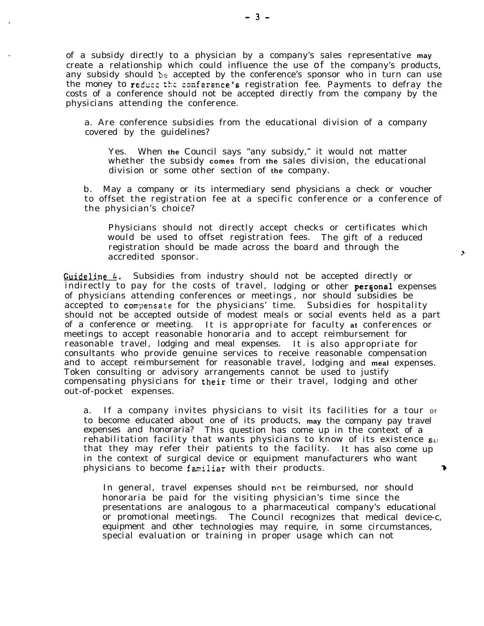of a subsidy directly to a physician by a company's sales representative **may**  create a relationship which could influence the use of the company's products, any subsidy should be accepted by the conference's sponsor who in turn can use the money to reduce the conference's registration fee. Payments to defray the costs of a conference should not be accepted directly from the company by the physicians attending the conference.

a. Are conference subsidies from the educational division of a company covered by the guidelines?

Yes. When **the** Council says "any subsidy," it would not matter whether the subsidy **comes** from **the** sales division, the educational division or some other section of **the** company.

b. May a company or its intermediary send physicians a check or voucher to offset the registration fee at a specific conference or a conference of the physician's choice?

Physicians should not directly accept checks or certificates which would be used to offset registration fees. The gift of a reduced registration should be made across the board and through the accredited sponsor.

 $\bullet$ 

Guideline  $4$ . Subsidies from industry should not be accepted directly or indirectly to pay for the costs of travel, lodging or other personal expenses of physicians attending conferences or meetings , nor should subsidies be accepted to compensate for the physicians' time. Subsidies for hospitality should not be accepted outside of modest meals or social events held as a part of a conference or meeting. It is appropriate for faculty **at** conferences or meetings to accept reasonable honoraria and to accept reimbursement for reasonable travel, lodging and meal expenses. It is also appropriate for consultants who provide genuine services to receive reasonable compensation and to accept reimbursement for reasonable travel, lodging and **meal** expenses. Token consulting or advisory arrangements cannot be used to justify compensating physicians for their time or their travel, lodging and other out-of-pocket expenses.

a. If a company invites physicians to visit its facilities for a tour or to become educated about one of its products, **may** the company pay travel expenses and honoraria? This question has come up in the context of a rehabilitation facility that wants physicians to know of its existence  $s_0$ that they may refer their patients to the facility. It has also come up in the context of surgical device or equipment manufacturers who want physicians to become familiar with their products. **T** 

In general, travel expenses should not be reimbursed, nor should honoraria be paid for the visiting physician's time since the presentations are analogous to a pharmaceutical company's educational or promotional meetings. The Council recognizes that medical device-c, equipment and other technologies may require, in some circumstances, special evaluation or training in proper usage which can not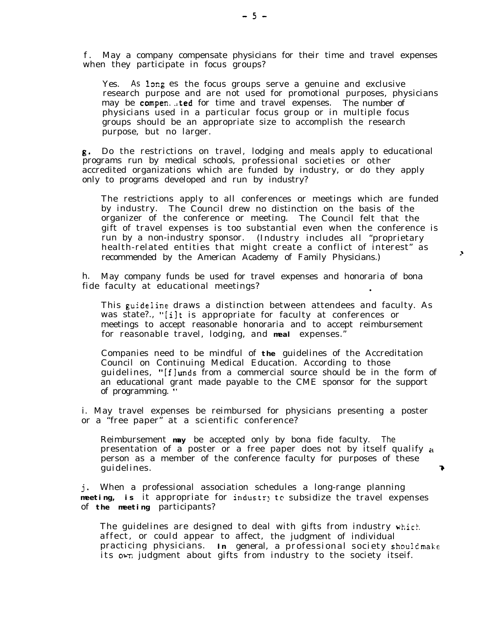f. May a company compensate physicians for their time and travel expenses when they participate in focus groups?

Yes. As long es the focus groups serve a genuine and exclusive research purpose and are not used for promotional purposes, physicians may be compen. . ted for time and travel expenses. The number of physicians used in a particular focus group or in multiple focus groups should be an appropriate size to accomplish the research purpose, but no larger.

**g.** Do the restrictions on travel, lodging and meals apply to educational programs run by medical schools, professional societies or other accredited organizations which are funded by industry, or do they apply only to programs developed and run by industry?

The restrictions apply to all conferences or meetings which are funded by industry. The Council drew no distinction on the basis of the organizer of the conference or meeting. The Council felt that the gift of travel expenses is too substantial even when the conference is run by a non-industry sponsor. (Industry includes all "proprietary health-related entities that might create a conflict of interest" as recommended by the American Academy of Family Physicians.)

 $\bullet$ 

� h. May company funds be used for travel expenses and honoraria of bona fide faculty at educational meetings?

This guideline draws a distinction between attendees and faculty. As was state?., " $[i]$ t is appropriate for faculty at conferences or meetings to accept reasonable honoraria and to accept reimbursement for reasonable travel, lodging, and **meal** expenses."

Companies need to be mindful of **the** guidelines of the Accreditation Council on Continuing Medical Education. According to those guidelines, " $[f]$ unds from a commercial source should be in the form of an educational grant made payable to the CME sponsor for the support of programming.

i. May travel expenses be reimbursed for physicians presenting a poster or a "free paper" at a scientific conference?

Reimbursement **may** be accepted only by bona fide faculty. The presentation of a poster or a free paper does not by itself qualify person as a member of the conference faculty for purposes of these guidelines.

When a professional association schedules a long-range planning meeting, is it appropriate for industry to subsidize the travel expenses of **the meeting** participants?

The guidelines are designed to deal with gifts from industry which affect, or could appear to affect, the judgment of individual practicing physicians. **In** general, a professional society shouid its own judgment about gifts from industry to the society itseif.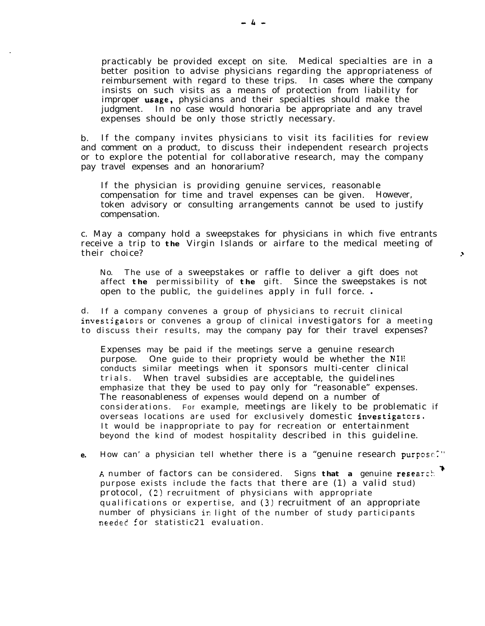practicably be provided except on site. Medical specialties are in a better position to advise physicians regarding the appropriateness of reimbursement with regard to these trips. In cases where the company insists on such visits as a means of protection from liability for improper usage, physicians and their specialties should make the judgment. In no case would honoraria be appropriate and any travel expenses should be only those strictly necessary.

b. If the company invites physicians to visit its facilities for review and comment on a product, to discuss their independent research projects or to explore the potential for collaborative research, may the company pay travel expenses and an honorarium?

If the physician is providing genuine services, reasonable compensation for time and travel expenses can be given. However, token advisory or consulting arrangements cannot be used to justify compensation.

c. May a company hold a sweepstakes for physicians in which five entrants receive a trip to **the** Virgin Islands or airfare to the medical meeting of their choice?

No. The use of a sweepstakes or raffle to deliver a gift does not affect **the** permissibility of **the** gift. Since the sweepstakes is not open to the public, the guidelines apply in full force.  $\cdot$ 

 $\mathbf{A}$ 

d. If a company convenes a group of physicians to recruit clinical investigators or convenes a group of clinical investigators for a meeting to discuss their results, may the company pay for their travel expenses?

Expenses may be paid if the meetings serve a genuine research purpose. One guide to their propriety would be whether the NIH conducts similar meetings when it sponsors multi-center clinical trials. When travel subsidies are acceptable, the guidelines emphasize that they be used to pay only for "reasonable" expenses. The reasonableness of expenses would depend on a number of considerations. For example, meetings are likely to be problematic if overseas locations are used for exclusively domestic investigators. It would be inappropriate to pay for recreation or entertainment beyond the kind of modest hospitality described in this guideline.

**e.** How can' a physician tell whether there is a "genuine research purpose?"

 number of factors can be considered. Signs **that a** genuine purpose exists include the facts that there are (1) a valid stud) protocol, (2) recruitment of physicians with appropriate qualifications or expertise, and  $(3)$  recruitment of an appropriate number of physicians in light of the number of study participants needed for statistic21 evaluation.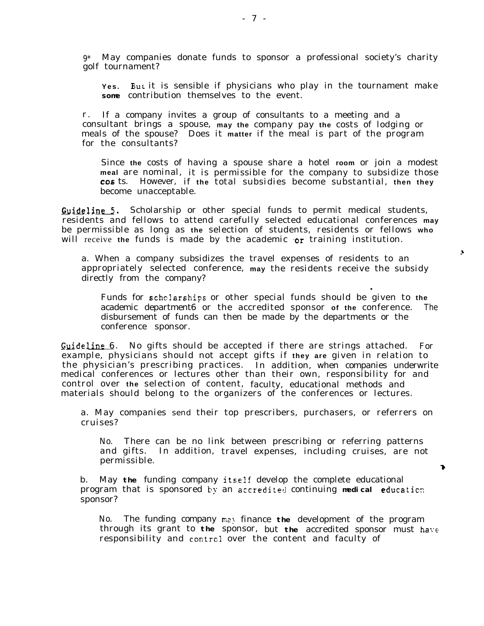9\* May companies donate funds to sponsor a professional society's charity golf tournament?

Yes. But it is sensible if physicians who play in the tournament make **some** contribution themselves to the event.

r. If a company invites a group of consultants to a meeting and a consultant brings a spouse, **may the** company pay **the** costs of lodging or meals of the spouse? Does it **matter** if the meal is part of the program for the consultants?

Since **the** costs of having a spouse share a hotel **room** or join a modest **meal** are nominal, it is permissible for the company to subsidize those ts. However, if **the** total subsidies become substantial, **then they**  become unacceptable.

**Guideline 5.** Scholarship or other special funds to permit medical students, residents and fellows to attend carefully selected educational conferences **may**  be permissible as long as **the** selection of students, residents or fellows **who**  will receive the funds is made by the academic or training institution.

a. When a company subsidizes the travel expenses of residents to an appropriately selected conference, **may** the residents receive the subsidy directly from the company?

Funds for scholarships or other special funds should be given to the academic department6 or the accredited sponsor **of the** conference. The disbursement of funds can then be made by the departments or the conference sponsor.

�

 $\boldsymbol{\lambda}$ 

F.

Guideline 6. No gifts should be accepted if there are strings attached. For example, physicians should not accept gifts if **they are** given in relation to the physician's prescribing practices. In addition, when companies underwrite medical conferences or lectures other than their own, responsibility for and control over **the** selection of content, faculty, educational methods and materials should belong to the organizers of the conferences or lectures.

a. May companies send their top prescribers, purchasers, or referrers on cruises?

No. There can be no link between prescribing or referring patterns and gifts. In addition, travel expenses, including cruises, are not permissible.

b. May the funding company itself develop the complete educational program that is sponsored by an accredited continuing medical education sponsor?

No. The funding company finance **the** development of the program through its grant to **the** sponsor, but **the** accredited sponsor must responsibility and control over the content and faculty of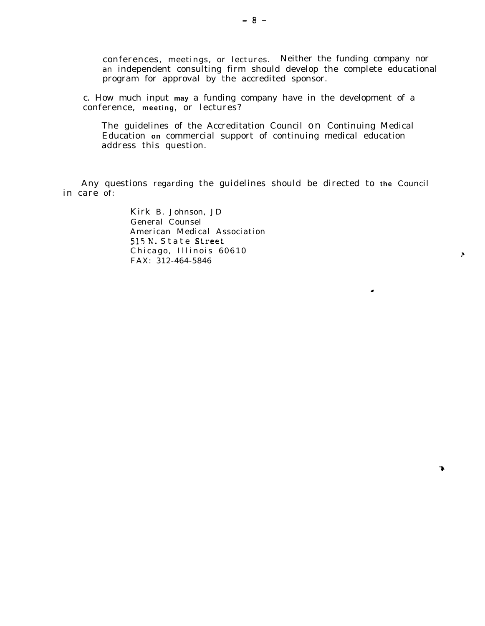conferences, meetings, or lectures. Neither the funding company nor an independent consulting firm should develop the complete educational program for approval by the accredited sponsor.

c. How much input **may** a funding company have in the development of a conference, **meeting,** or lectures?

The guidelines of the Accreditation Council on Continuing Medical Education **on** commercial support of continuing medical education address this question.

 $\mathbf{r}$ 

 $\ddot{\bullet}$ 

 $\bullet$ 

Any questions regarding the guidelines should be directed to **the** Council in care of:

> Kirk B. Johnson, JD General Counsel American Medical Association 515 N. State Street Chicago, Illinois 60610 FAX: 312-464-5846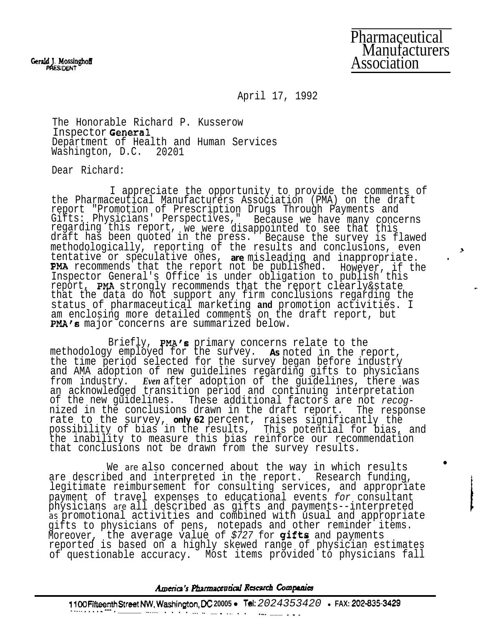$\bullet$ 

 $\mathcal{P}$ 

### April 17, 1992

The Honorable Richard P. Kusserow Inspector General Department of Health and Human Services Washington, D.C. 20201

Dear Richard:

I appreciate the opportunity to provide the comments of the Pharmaceutical Manufacturers Association (PMA) on the draft report "Promotion of Prescription Drugs Through Payments and Gifts: Physicians' Perspectives," Because we have many concerns<br>regarding this report, we were disappointed to see that this<br>draft has been quoted in the press. Because the survey is flawed<br>methodologically, reporting of t tentative or speculative ones, are misleading and inappropriate.<br>**PMA** recommends that the report not be published. However, if the Inspector General's Office is under obligation to publish this report, PMA strongly recommends that the report clearly&state<br>that the data do not support any firm conclusions regarding the status of pharmaceutical marketing **and** promotion activities. I am enclosing more detailed comments on the draft report, but<br>**PMA's** major concerns are summarized below.

Briefly, **PMA's** primary concerns relate to the<br>methodology employed for the survey. As noted in the report,<br>the time period selected for the survey began before industry and AMA adoption of new guidelines regarding gifts to physicians from industry. *Even* after adoption of the guidelines, there was an acknowledged transition period and continuing interpretation of the new guidelines. These additional factors are not *recog*nized in the conclusions drawn in the draft report. The response<br>rate to the survey, only 62 percent, raises significantly the<br>possibility of bias in the results, This potential for bias, and<br>the inability to measure this that conclusions not be drawn from the survey results.

We are also concerned about the way in which results are described and interpreted in the report. Research funding, legitimate reimbursement for consulting services, and appropriate payment of travel expenses to educational events *for* consultant physicians are all described as gifts and payments--interpreted as promotional activities and combined with usual and appropriate gifts to physicians of pens, notepads and other reminder items. Moreover, the average value of \$727 for gifts and payments reported is based on a highly skewed range of physician estimates of questionable accuracy. Most items provided to physicians fall

### America's Pharmaceutical Research Companies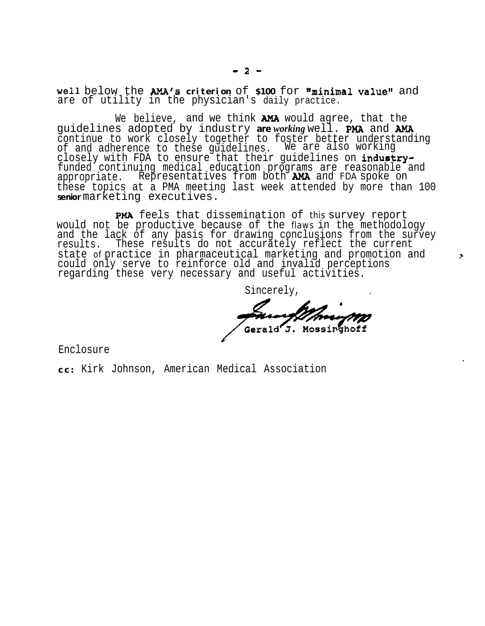well below the AMA's criterion of \$100 for "minimal value" and are of utility in the physician's daily practice.

We believe, and we think AMA would agree, that the guidelines adopted by industry are *working* well. PMA and continue to work closely together to foster better understanding of and adherence to these guidelines. We are also working closely with FDA to ensure that their guidelines on funded continuing medical education programs are reasonable and appropriate. Representatives from both **AMA** and FDA spoke on these topics at a PMA meeting last week attended by more than 100 **senior** marketing executives.

**PMA** feels that dissemination of this survey report would not be productive because of the flaws in the methodology and the lack of any basis for drawing conclusions from the survey results. These results do not accurately reflect the current These results do not accurately reflect the current state of practice in pharmaceutical marketing and promotion and could only serve to reinforce old and invalid perceptions regarding these very necessary and useful activities.

Sincerely, .

Gerald J. Mossinghoff

 $\mathbf{A}$ 

Enclosure

**cc:** Kirk Johnson, American Medical Association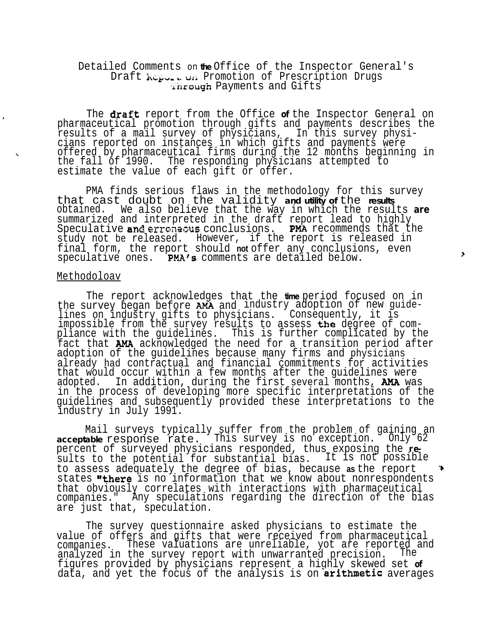## Detailed Comments on **the** Office of the Inspector General's Draft Kepost on Promotion of Prescription Drugs<br>Firough Payments and Gifts

The report from the Office **of** the Inspector General on pharmaceutical promotion through gifts and payments describes the results of a mail survey of physicians, In this survey physi-<br>cians reported on instances in which gifts and payments were cians reported on instances in which gifts and payments were<br>offered by pharmaceutical firms during the 12 months beginning in the fall of 1990. The responding physicians attempted to estimate the value of each gift or offer.

PMA finds serious flaws in the methodology for this survey that cast doubt on the validity **and utility of** the **results**  obtained. We also believe that the way in which the results *are*  summarized and interpreted in the draft report lead to highly Speculative and erroneous conclusions. PMA recommends that the study not be released. However, if the report is released in final form, the report should **not** offer any conclusions, even speculative ones. **PMA's** comments are detailed below.

#### Methodoloav

The report acknowledges that the **time** period focused on in the survey began before AMA and industry adoption of new guidelines on industry gifts to physicians. Consequently, it is impossible from the survey results to assess **the** degree of com-<br>pliance with the guidelines. This is further complicated by the fact that AMA acknowledged the need for a transition period after adoption of the guidelines because many firms and physicians already had contractual and financial commitments for activities that would occur within a few months after the guidelines were adopted. In addition, during the first several months, AMA was in the process of developing more specific interpretations of the guidelines and subsequently provided these interpretations to the industry in July 1991.

Mail surveys typically suffer from the problem of gaining an **acceptable** response rate. This survey is no exception. Only 62 percent of surveyed physicians responded, thus exposing the **re**sults to the potential for substantial bias. to assess adequately the degree of bias, because **as** the report states "there is no information that we know about nonrespondents that obviously correlates with interactions with pharmaceutical companies." Any speculations regarding the direction of the bias are just that, speculation.

The survey questionnaire asked physicians to estimate the value of offers and gifts that were received from pharmaceutical companies. These valuations are unreliable, yot are reported and<br>analyzed in the survey report with unwarranted precision. The analyzed in the survey report with unwarranted precision. figures provided by physicians represent a highly skewed set **of**  data, and yet the focus of the analysis is on **arithmetic** averages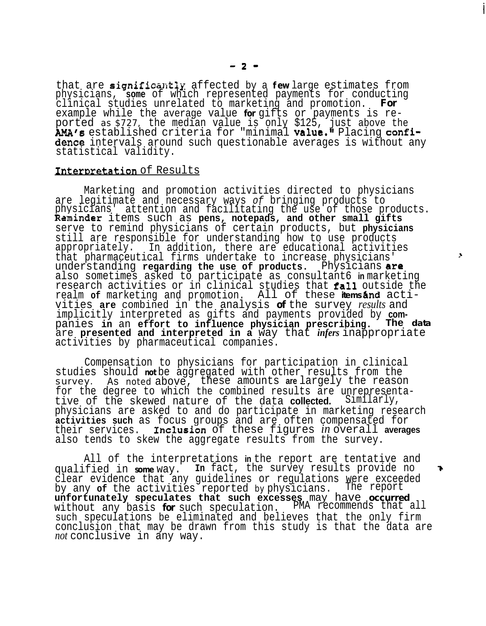that are significantly affected by a few large estimates from physicians, **some** of which represented payments for conducting clinical studies unrelated to marketing and promotion. *For*  example while the average value **for** gifts or payments is reported as \$727, the median value is only \$125, just above the established criteria for "minimal value." Placing o dence intervals around such questionable averages is without any statistical validity.

### Interpretation of Results

Marketing and promotion activities directed to physicians<br>are legitimate and necessary ways of bringing products to physicians' attention and facilitating the use of those products.<br>**Reminder** items such as **pens, notepads, and other small gifts** serve to remind physicians of certain products, but **physicians**  still are responsible for understanding how to use products appropriately. In addition, there are educational activities that pharmaceutical firms undertake to increase physicians' understanding regarding the use of products. Physicians are also sometimes asked to participate as consultant6 **in** marketing research activities or in clinical studies that fall outside the realm **of** marketing and promotion. All of these **items** activities **are** combined in the analysis *of* the survey *results* and implicitly interpreted as gifts and payments provided by **com**panies **in** an **effort to influence physician prescribing. The data**  are **presented and interpreted in a** way that *infers* inappropriate activities by pharmaceutical companies.

Compensation to physicians for participation in clinical studies should **not** be aggregated with other results from the survey. As noted above, these amounts **are** largely the reason for the degree to which the combined results are unrepresentative of the skewed nature of the data **collected.** Similarly, physicians are asked to and do participate in marketing research **activities such** as focus groups and are often compensated for their services. Inclusion of these figures *in* overall averages also tends to skew the aggregate results from the survey.

All of the interpretations **in** the report are tentative and qualified in **some** way. **In** fact, the survey results provide no gaddesidence that any guidelines or regulations were exceeded<br>by any of the activities reported by physicians. The report by any of the activities reported by physicians. **unfortunately speculates that such excesses** may have **occurred**  without any basis *for* such speculation. PMA recommends that all such speculations be eliminated and believes that the only firm conclusion that may be drawn from this study is that the data are *not* conclusive in any way.

\*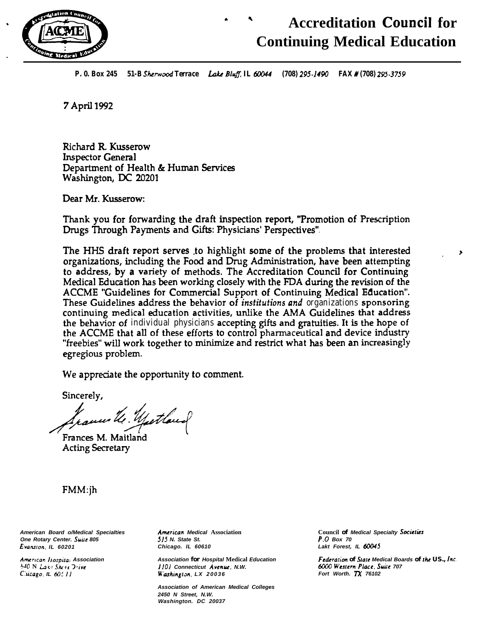

## **Accreditation Council for Continuing Medical Education**

P. 0. Box 245 51-B Sherwood Terrace Lake Bluff, IL 60044 (708) 295-1490 FAX # (708) 295-3759

7 April 1992

Richard R. Kusserow **Inspector General** Department of Health & Human Services Washington, DC 20201

Dear Mr. Kusserow:

Thank you for forwarding the draft inspection report, "Promotion of Prescription Drugs Through Payments and Gifts: Physicians' Perspectives".

The HHS draft report serves to highlight some of the problems that interested organizations, including the Food and Drug Administration, have been attempting to address, by a variety of methods. The Accreditation Council for Continuing Medical Education has been working closely with the FDA during the revision of the ACCME "Guidelines for Commercial Support of Continuing Medical Education". These Guidelines address the behavior of *institutions and organizations* sponsoring continuing medical education activities, unlike the AMA Guidelines that address the behavior of *individual physicians* accepting gifts and gratuities. It is the hope of the ACCME that all of these efforts to control pharmaceutical and device industry "freebies" will work together to minimize and restrict what has been an increasingly egregious problem.

We appreciate the opportunity to comment.

Sincerely,

etbau

Frances M. Maitland **Acting Secretary** 

 $FMM:jh$ 

*American Board o/Medical Specialties One Rotary Center. 805 IL 60201* 

**American Isospital Association MON** Lake Shere Drive *Chicago*, *IL 605* 11

*Medical* **Association** 515 N. State St. *Chicago. IL 60610*

*Association for Hospital* **Medical** *Education Connecticut N.W. LX 20036*

*Association of American Medical Colleges 2450 N Street, N.W. Washington. DC 20037*

**Council** *of Medical Specialty Box 70* Lakt Forest, IL 60045

**Federation of State Medical Boards of the US., Inc.** 6000 Western Place, Suite 707 *Fort Worth. 76102*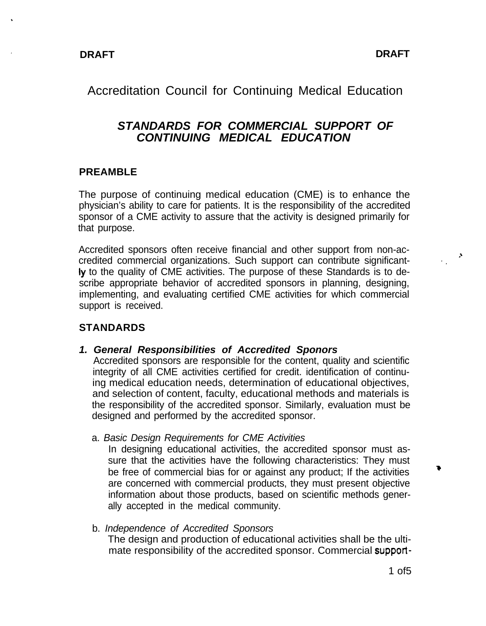$\mathcal{L}$ 

Accreditation Council for Continuing Medical Education

## *STANDARDS FOR COMMERCIAL SUPPORT OF CONTINUING MEDICAL EDUCATION*

## **PREAMBLE**

The purpose of continuing medical education (CME) is to enhance the physician's ability to care for patients. It is the responsibility of the accredited sponsor of a CME activity to assure that the activity is designed primarily for that purpose.

Accredited sponsors often receive financial and other support from non-accredited commercial organizations. Such support can contribute significant to the quality of CME activities. The purpose of these Standards is to describe appropriate behavior of accredited sponsors in planning, designing, implementing, and evaluating certified CME activities for which commercial support is received.

## **STANDARDS**

### *1. General Responsibilities of Accredited Sponors*

Accredited sponsors are responsible for the content, quality and scientific integrity of all CME activities certified for credit. identification of continuing medical education needs, determination of educational objectives, and selection of content, faculty, educational methods and materials is the responsibility of the accredited sponsor. Similarly, evaluation must be designed and performed by the accredited sponsor.

a. *Basic Design Requirements for CME Activities* 

In designing educational activities, the accredited sponsor must assure that the activities have the following characteristics: They must be free of commercial bias for or against any product; If the activities are concerned with commercial products, they must present objective information about those products, based on scientific methods generally accepted in the medical community.

b. *Independence of Accredited Sponsors* 

The design and production of educational activities shall be the ultimate responsibility of the accredited sponsor. Commercial support $\bullet$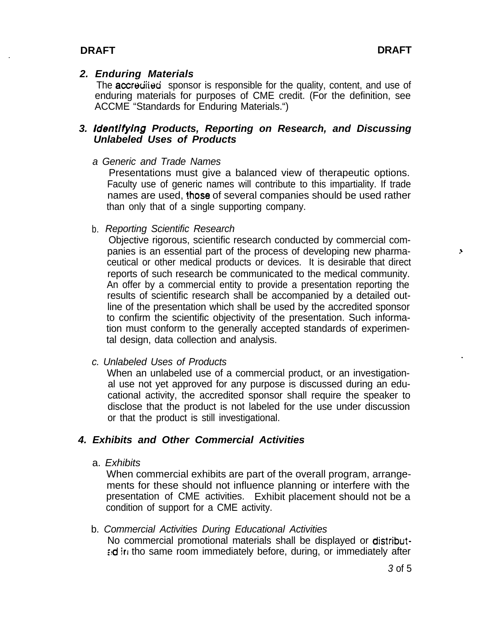$\bullet$ 

## *2. Enduring Materials*

The **accredited** sponsor is responsible for the quality, content, and use of enduring materials for purposes of CME credit. (For the definition, see ACCME "Standards for Enduring Materials.")

## 3. Identifying Products, Reporting on Research, and Discussing *Unlabeled Uses of Products*

### *a Generic and Trade Names*

Presentations must give a balanced view of therapeutic options. Faculty use of generic names will contribute to this impartiality. If trade names are used, those of several companies should be used rather than only that of a single supporting company.

### b. *Reporting Scientific Research*

Objective rigorous, scientific research conducted by commercial companies is an essential part of the process of developing new pharmaceutical or other medical products or devices. It is desirable that direct reports of such research be communicated to the medical community. An offer by a commercial entity to provide a presentation reporting the results of scientific research shall be accompanied by a detailed outline of the presentation which shall be used by the accredited sponsor to confirm the scientific objectivity of the presentation. Such information must conform to the generally accepted standards of experimental design, data collection and analysis.

### *c. Unlabeled Uses of Products*

When an unlabeled use of a commercial product, or an investigational use not yet approved for any purpose is discussed during an educational activity, the accredited sponsor shall require the speaker to disclose that the product is not labeled for the use under discussion or that the product is still investigational.

## *4. Exhibits and Other Commercial Activities*

a. *Exhibits* 

When commercial exhibits are part of the overall program, arrangements for these should not influence planning or interfere with the presentation of CME activities. Exhibit placement should not be a condition of support for a CME activity.

## b. *Commercial Activities During Educational Activities*

No commercial promotional materials shall be displayed or distribut $t$ : d in tho same room immediately before, during, or immediately after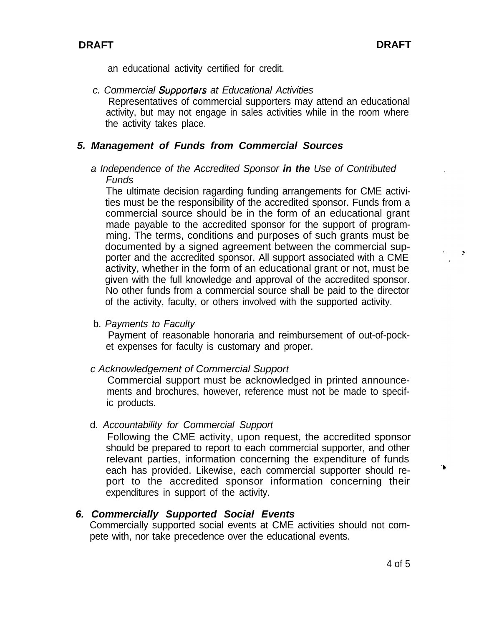$\bullet$ 

 $\ddot{\phantom{1}}$ 

an educational activity certified for credit.

*c. Commercial Supporters at Educational Activities* Representatives of commercial supporters may attend an educational activity, but may not engage in sales activities while in the room where the activity takes place.

## *5. Management of Funds from Commercial Sources*

### *a Independence of the Accredited Sponsor in the Use of Contributed Funds*

The ultimate decision ragarding funding arrangements for CME activities must be the responsibility of the accredited sponsor. Funds from a commercial source should be in the form of an educational grant made payable to the accredited sponsor for the support of programming. The terms, conditions and purposes of such grants must be documented by a signed agreement between the commercial supporter and the accredited sponsor. All support associated with a CME activity, whether in the form of an educational grant or not, must be given with the full knowledge and approval of the accredited sponsor. No other funds from a commercial source shall be paid to the director of the activity, faculty, or others involved with the supported activity.

b. *Payments to Faculty* 

Payment of reasonable honoraria and reimbursement of out-of-pocket expenses for faculty is customary and proper.

*c Acknowledgement of Commercial Support* 

Commercial support must be acknowledged in printed announcements and brochures, however, reference must not be made to specific products.

d. *Accountability for Commercial Support* 

Following the CME activity, upon request, the accredited sponsor should be prepared to report to each commercial supporter, and other relevant parties, information concerning the expenditure of funds each has provided. Likewise, each commercial supporter should report to the accredited sponsor information concerning their expenditures in support of the activity.

### *6. Commercially Supported Social Events*

Commercially supported social events at CME activities should not compete with, nor take precedence over the educational events.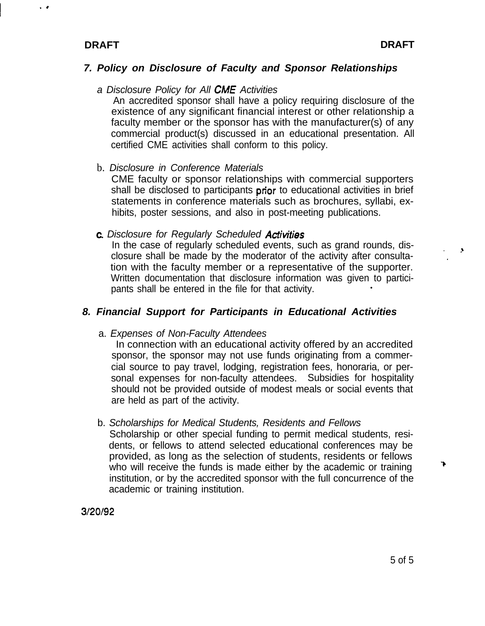## **DRAFT** DRAFT

 $\boldsymbol{\beta}$ 

 $\ddot{\phantom{1}}$ 

## *7. Policy on Disclosure of Faculty and Sponsor Relationships*

## *a Disclosure Policy for All Activities*

An accredited sponsor shall have a policy requiring disclosure of the existence of any significant financial interest or other relationship a faculty member or the sponsor has with the manufacturer(s) of any commercial product(s) discussed in an educational presentation. All certified CME activities shall conform to this policy.

## b. *Disclosure in Conference Materials*

CME faculty or sponsor relationships with commercial supporters shall be disclosed to participants prior to educational activities in brief statements in conference materials such as brochures, syllabi, exhibits, poster sessions, and also in post-meeting publications.

## *Disclosure for Regularly Scheduled*

In the case of regularly scheduled events, such as grand rounds, disclosure shall be made by the moderator of the activity after consultation with the faculty member or a representative of the supporter. Written documentation that disclosure information was given to participants shall be entered in the file for that activity.

## *8. Financial Support for Participants in Educational Activities*

### a. *Expenses of Non-Faculty Attendees*

In connection with an educational activity offered by an accredited sponsor, the sponsor may not use funds originating from a commercial source to pay travel, lodging, registration fees, honoraria, or personal expenses for non-faculty attendees. Subsidies for hospitality should not be provided outside of modest meals or social events that are held as part of the activity.

### b. *Scholarships for Medical Students, Residents and Fellows*

Scholarship or other special funding to permit medical students, residents, or fellows to attend selected educational conferences may be provided, as long as the selection of students, residents or fellows who will receive the funds is made either by the academic or training institution, or by the accredited sponsor with the full concurrence of the academic or training institution.

3/20/92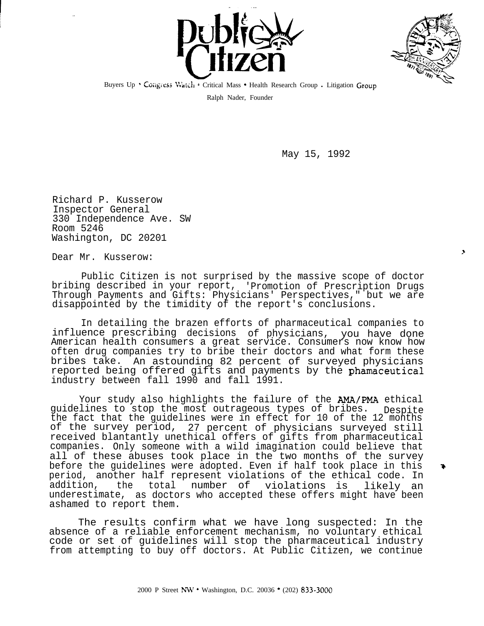



Buyers Up ' Congress Watch . Critical Mass . Health Research Group . Litigation Group

Ralph Nader, Founder

May 15, 1992

Richard P. Kusserow Inspector General 330 Independence Ave. SW Room 5246 Washington, DC 20201

Dear Mr. Kusserow:

Public Citizen is not surprised by the massive scope of doctor bribing described in your report, 'Promotion of Prescription Drugs Through Payments and Gifts: Physicians' Perspectives," but we are disappointed by the timidity of the report's conclusions.

In detailing the brazen efforts of pharmaceutical companies to influence prescribing decisions of physicians, you have done American health consumers a great service. Consumers now know how often drug companies try to bribe their doctors and what form these bribes take. An astounding 82 percent of surveyed physicians reported being offered gifts and payments by the phamaceutical industry between fall 1990 and fall 1991.

Your study also highlights the failure of the AMA/PMA ethical guidelines to stop the most outrageous types of bribes. Despite the fact that the guidelines were in effect for 10 of the 12 months of the survey period, 27 percent of physicians surveyed still received blantantly unethical offers of gifts from pharmaceutical companies. Only someone with a wild imagination could believe that all of these abuses took place in the two months of the survey before the guidelines were adopted. Even if half took place in this period, another half represent violations of the ethical code. In addition, the total number of violations is likely an underestimate, as doctors who accepted these offers might have been ashamed to report them.

The results confirm what we have long suspected: In the absence of a reliable enforcement mechanism, no voluntary ethical code or set of guidelines will stop the pharmaceutical industry from attempting to buy off doctors. At Public Citizen, we continue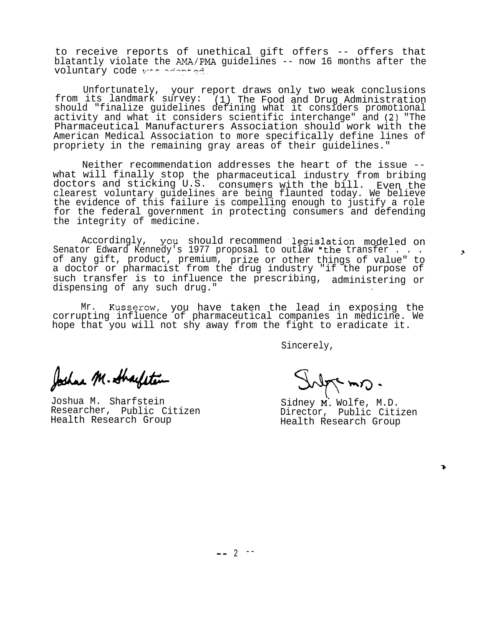to receive reports of unethical gift offers -- offers that blatantly violate the AMA/PMA guidelines -- now 16 months after the voluntary code was adonted.

Unfortunately, your report draws only two weak conclusions from its landmark survey: (1) The Food and Drug Administration<br>should "finalize guidelines defining what it considers promotional activity and what it considers scientific interchange" and (2) "The Pharmaceutical Manufacturers Association should work with the American Medical Association to more specifically define lines of propriety in the remaining gray areas of their guidelines."

Neither recommendation addresses the heart of the issue - what will finally stop the pharmaceutical industry from bribing doctors and sticking U.S. consumers with the bill. Even the clearest voluntary guidelines are being flaunted today. We believe the evidence of this failure is compelling enough to justify a role for the federal government in protecting consumers and defending the integrity of medicine.

Accordingly, you should recommend legislation modeled on Senator Edward Kennedy's 1977 proposal to outlaw "the transfer . . . of any gift, product, premium, prize or other things of value" to a doctor or pharmacist from the drug industry "if the purpose of such transfer is to influence the prescribing, administering or dispensing of any such drug."

Mr. Kusserow, you have taken the lead in exposing the corrupting influence of pharmaceutical companies in medicine. We hope that you will not shy away from the fight to eradicate it.

Sincerely,

Joshua M. Shayetan

Joshua M. Hayutan Sulpe mn. Researcher, Public Citizen Director, Public Citizen

Health Research Group

 $-$  - 2  $-$ 

 $\Delta$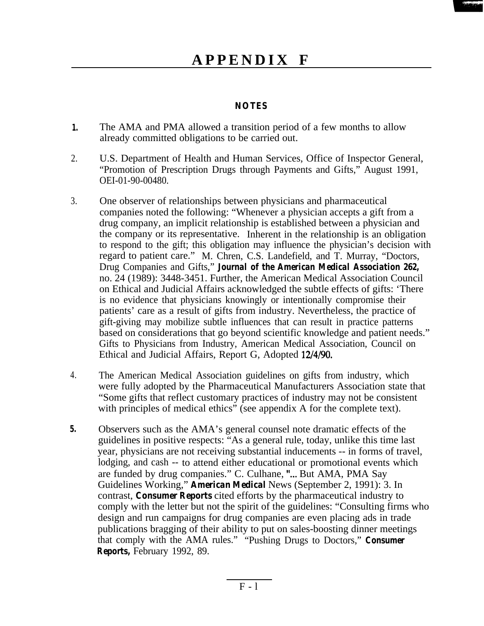## *NOTES*

- *1.* The AMA and PMA allowed a transition period of a few months to allow already committed obligations to be carried out.
- 2. U.S. Department of Health and Human Services, Office of Inspector General, "Promotion of Prescription Drugs through Payments and Gifts," August 1991, OEI-01-90-00480.
- 3. One observer of relationships between physicians and pharmaceutical companies noted the following: "Whenever a physician accepts a gift from a drug company, an implicit relationship is established between a physician and the company or its representative. Inherent in the relationship is an obligation to respond to the gift; this obligation may influence the physician's decision with regard to patient care." M. Chren, C.S. Landefield, and T. Murray, "Doctors, Drug Companies and Gifts," *Journal of the American Medical Association 262,*  no. 24 (1989): 3448-3451. Further, the American Medical Association Council on Ethical and Judicial Affairs acknowledged the subtle effects of gifts: 'There is no evidence that physicians knowingly or intentionally compromise their patients' care as a result of gifts from industry. Nevertheless, the practice of gift-giving may mobilize subtle influences that can result in practice patterns based on considerations that go beyond scientific knowledge and patient needs." Gifts to Physicians from Industry, American Medical Association, Council on Ethical and Judicial Affairs, Report G, Adopted
- 4. The American Medical Association guidelines on gifts from industry, which were fully adopted by the Pharmaceutical Manufacturers Association state that "Some gifts that reflect customary practices of industry may not be consistent with principles of medical ethics" (see appendix A for the complete text).
- *5.* Observers such as the AMA's general counsel note dramatic effects of the guidelines in positive respects: "As a general rule, today, unlike this time last year, physicians are not receiving substantial inducements -- in forms of travel, lodging, and cash -- to attend either educational or promotional events which are funded by drug companies." C. Culhane, "... But AMA, PMA Say Guidelines Working," *American Medical* News (September 2, 1991): 3. In contrast, *Consumer Reports* cited efforts by the pharmaceutical industry to comply with the letter but not the spirit of the guidelines: "Consulting firms who design and run campaigns for drug companies are even placing ads in trade publications bragging of their ability to put on sales-boosting dinner meetings that comply with the AMA rules." "Pushing Drugs to Doctors," *Consumer Reports,* February 1992, 89.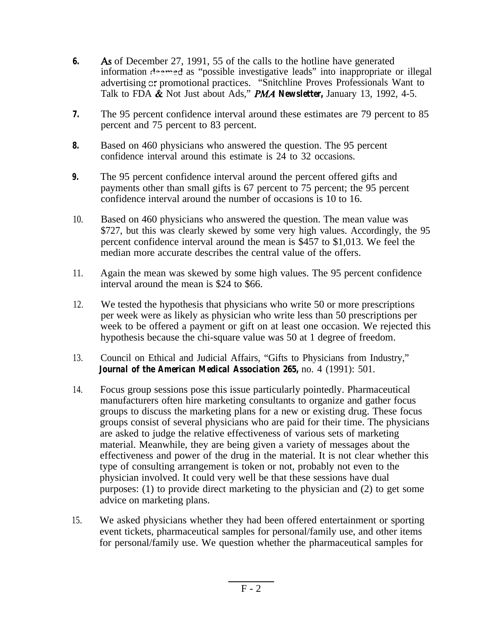- *6.*  As of December 27, 1991, 55 of the calls to the hotline have generated information degmed as "possible investigative leads" into inappropriate or illegal advertising cr promotional practices. "Snitchline Proves Professionals Want to Talk to FDA  $\&$  Not Just about Ads," **PMA Newsletter,** January 13, 1992, 4-5.
- *7.*  The 95 percent confidence interval around these estimates are 79 percent to 85 percent and 75 percent to 83 percent.
- *8.*  Based on 460 physicians who answered the question. The 95 percent confidence interval around this estimate is 24 to 32 occasions.
- *9.*  The 95 percent confidence interval around the percent offered gifts and payments other than small gifts is 67 percent to 75 percent; the 95 percent confidence interval around the number of occasions is 10 to 16.
- 10. Based on 460 physicians who answered the question. The mean value was \$727, but this was clearly skewed by some very high values. Accordingly, the 95 percent confidence interval around the mean is \$457 to \$1,013. We feel the median more accurate describes the central value of the offers.
- 11. Again the mean was skewed by some high values. The 95 percent confidence interval around the mean is \$24 to \$66.
- 12. We tested the hypothesis that physicians who write 50 or more prescriptions per week were as likely as physician who write less than 50 prescriptions per week to be offered a payment or gift on at least one occasion. We rejected this hypothesis because the chi-square value was 50 at 1 degree of freedom.
- 13. Council on Ethical and Judicial Affairs, "Gifts to Physicians from Industry," *Journal of the American Medical Association 265, no. 4 (1991): 501.*
- 14. Focus group sessions pose this issue particularly pointedly. Pharmaceutical manufacturers often hire marketing consultants to organize and gather focus groups to discuss the marketing plans for a new or existing drug. These focus groups consist of several physicians who are paid for their time. The physicians are asked to judge the relative effectiveness of various sets of marketing material. Meanwhile, they are being given a variety of messages about the effectiveness and power of the drug in the material. It is not clear whether this type of consulting arrangement is token or not, probably not even to the physician involved. It could very well be that these sessions have dual purposes: (1) to provide direct marketing to the physician and (2) to get some advice on marketing plans.
- 15. We asked physicians whether they had been offered entertainment or sporting event tickets, pharmaceutical samples for personal/family use, and other items for personal/family use. We question whether the pharmaceutical samples for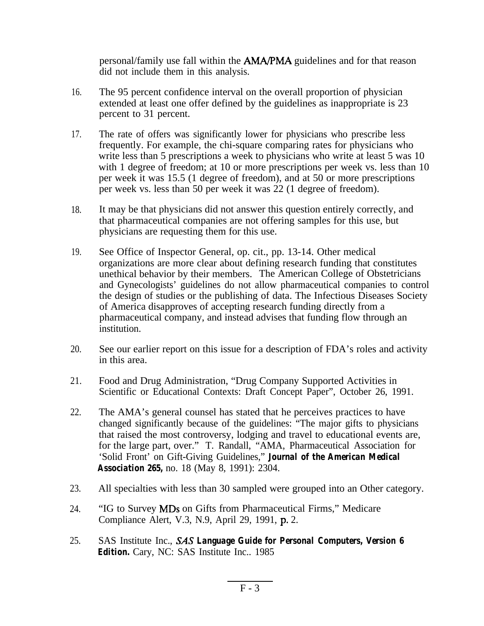personal/family use fall within the **AMA/PMA** guidelines and for that reason did not include them in this analysis.

- 16. The 95 percent confidence interval on the overall proportion of physician extended at least one offer defined by the guidelines as inappropriate is 23 percent to 31 percent.
- 17. The rate of offers was significantly lower for physicians who prescribe less frequently. For example, the chi-square comparing rates for physicians who write less than 5 prescriptions a week to physicians who write at least 5 was 10 with 1 degree of freedom; at 10 or more prescriptions per week vs. less than 10 per week it was 15.5 (1 degree of freedom), and at 50 or more prescriptions per week vs. less than 50 per week it was 22 (1 degree of freedom).
- 18. It may be that physicians did not answer this question entirely correctly, and that pharmaceutical companies are not offering samples for this use, but physicians are requesting them for this use.
- 19. See Office of Inspector General, op. cit., pp. 13-14. Other medical organizations are more clear about defining research funding that constitutes unethical behavior by their members. The American College of Obstetricians and Gynecologists' guidelines do not allow pharmaceutical companies to control the design of studies or the publishing of data. The Infectious Diseases Society of America disapproves of accepting research funding directly from a pharmaceutical company, and instead advises that funding flow through an institution.
- 20. See our earlier report on this issue for a description of FDA's roles and activity in this area.
- 21. Food and Drug Administration, "Drug Company Supported Activities in Scientific or Educational Contexts: Draft Concept Paper", October 26, 1991.
- 22. The AMA's general counsel has stated that he perceives practices to have changed significantly because of the guidelines: "The major gifts to physicians that raised the most controversy, lodging and travel to educational events are, for the large part, over." T. Randall, "AMA, Pharmaceutical Association for 'Solid Front' on Gift-Giving Guidelines," *Journal of the American Medical Association 265,* no. 18 (May 8, 1991): 2304.
- 23. All specialties with less than 30 sampled were grouped into an Other category.
- 24. "IG to Survey MDs on Gifts from Pharmaceutical Firms," Medicare Compliance Alert, V.3, N.9, April 29, 1991, p. 2.
- 25. SAS Institute Inc., SAS Language Guide for Personal Computers, Version 6 *Edition.* Cary, NC: SAS Institute Inc.. 1985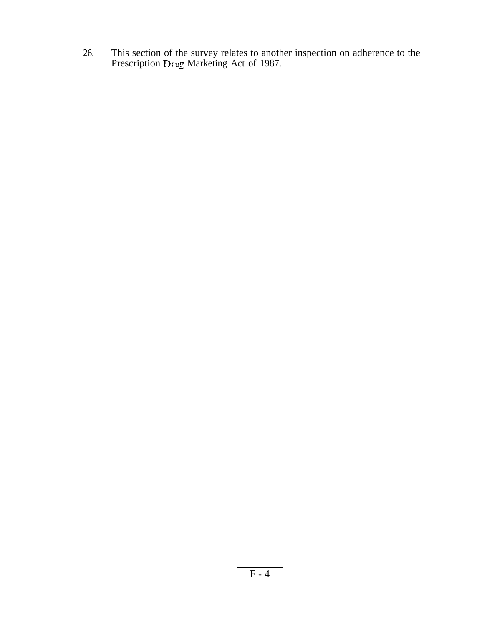26. This section of the survey relates to another inspection on adherence to the Prescription Drug Marketing Act of 1987.